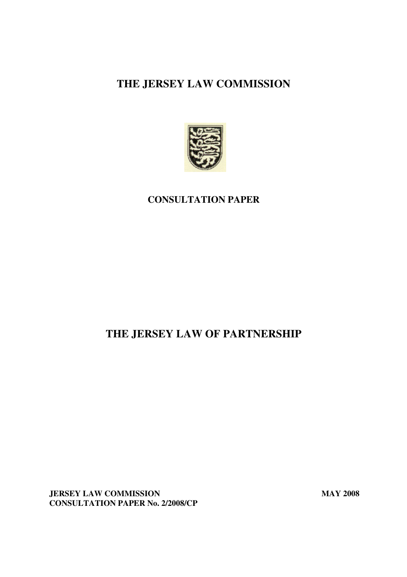# **THE JERSEY LAW COMMISSION**



## **CONSULTATION PAPER**

# **THE JERSEY LAW OF PARTNERSHIP**

**JERSEY LAW COMMISSION** MAY 2008 **CONSULTATION PAPER No. 2/2008/CP**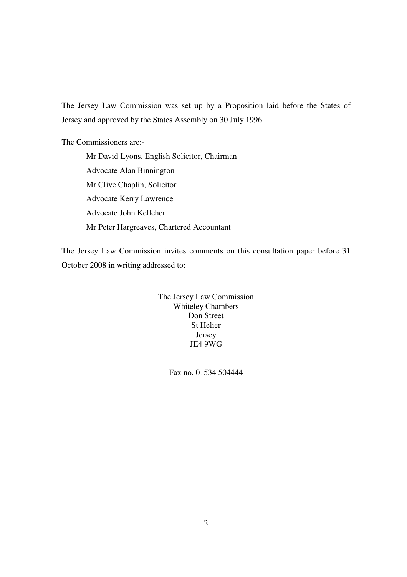The Jersey Law Commission was set up by a Proposition laid before the States of Jersey and approved by the States Assembly on 30 July 1996.

The Commissioners are:-

Mr David Lyons, English Solicitor, Chairman Advocate Alan Binnington Mr Clive Chaplin, Solicitor Advocate Kerry Lawrence Advocate John Kelleher Mr Peter Hargreaves, Chartered Accountant

The Jersey Law Commission invites comments on this consultation paper before 31 October 2008 in writing addressed to:

> The Jersey Law Commission Whiteley Chambers Don Street St Helier Jersey JE4 9WG

> > Fax no. 01534 504444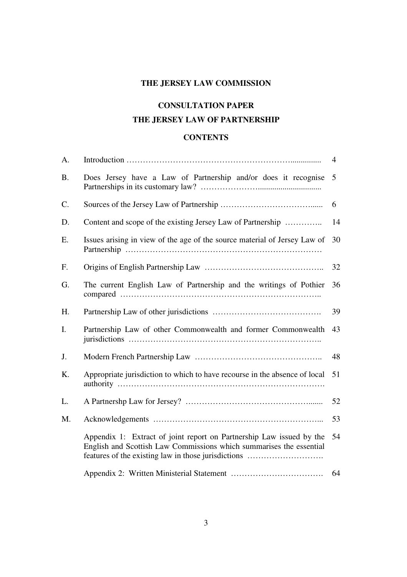## **THE JERSEY LAW COMMISSION**

# **CONSULTATION PAPER THE JERSEY LAW OF PARTNERSHIP**

## **CONTENTS**

| A.        |                                                                                                                                                                                                    | 4  |
|-----------|----------------------------------------------------------------------------------------------------------------------------------------------------------------------------------------------------|----|
| <b>B.</b> | Does Jersey have a Law of Partnership and/or does it recognise                                                                                                                                     | 5  |
| C.        |                                                                                                                                                                                                    | 6  |
| D.        | Content and scope of the existing Jersey Law of Partnership                                                                                                                                        | 14 |
| Ε.        | Issues arising in view of the age of the source material of Jersey Law of                                                                                                                          | 30 |
| F.        |                                                                                                                                                                                                    | 32 |
| G.        | The current English Law of Partnership and the writings of Pothier                                                                                                                                 | 36 |
| H.        |                                                                                                                                                                                                    | 39 |
| I.        | Partnership Law of other Commonwealth and former Commonwealth                                                                                                                                      | 43 |
| J.        |                                                                                                                                                                                                    | 48 |
| K.        | Appropriate jurisdiction to which to have recourse in the absence of local                                                                                                                         | 51 |
| L.        |                                                                                                                                                                                                    | 52 |
| M.        |                                                                                                                                                                                                    | 53 |
|           | Appendix 1: Extract of joint report on Partnership Law issued by the<br>English and Scottish Law Commissions which summarises the essential<br>features of the existing law in those jurisdictions | 54 |
|           |                                                                                                                                                                                                    | 64 |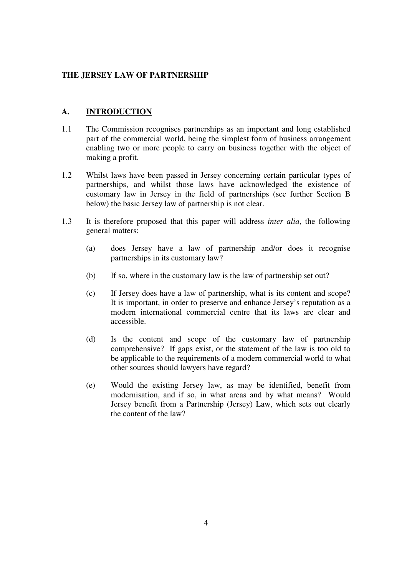#### **THE JERSEY LAW OF PARTNERSHIP**

## **A. INTRODUCTION**

- 1.1 The Commission recognises partnerships as an important and long established part of the commercial world, being the simplest form of business arrangement enabling two or more people to carry on business together with the object of making a profit.
- 1.2 Whilst laws have been passed in Jersey concerning certain particular types of partnerships, and whilst those laws have acknowledged the existence of customary law in Jersey in the field of partnerships (see further Section B below) the basic Jersey law of partnership is not clear.
- 1.3 It is therefore proposed that this paper will address *inter alia*, the following general matters:
	- (a) does Jersey have a law of partnership and/or does it recognise partnerships in its customary law?
	- (b) If so, where in the customary law is the law of partnership set out?
	- (c) If Jersey does have a law of partnership, what is its content and scope? It is important, in order to preserve and enhance Jersey's reputation as a modern international commercial centre that its laws are clear and accessible.
	- (d) Is the content and scope of the customary law of partnership comprehensive? If gaps exist, or the statement of the law is too old to be applicable to the requirements of a modern commercial world to what other sources should lawyers have regard?
	- (e) Would the existing Jersey law, as may be identified, benefit from modernisation, and if so, in what areas and by what means? Would Jersey benefit from a Partnership (Jersey) Law, which sets out clearly the content of the law?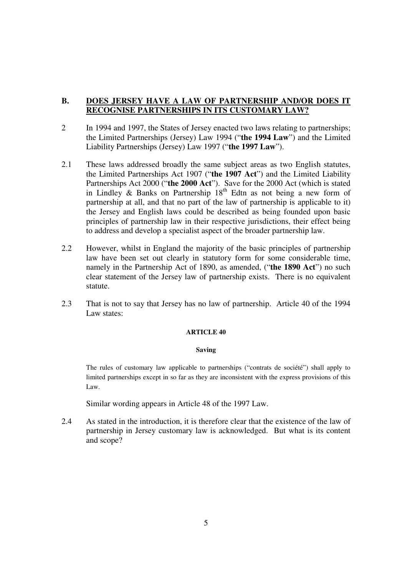## **B. DOES JERSEY HAVE A LAW OF PARTNERSHIP AND/OR DOES IT RECOGNISE PARTNERSHIPS IN ITS CUSTOMARY LAW?**

- 2 In 1994 and 1997, the States of Jersey enacted two laws relating to partnerships; the Limited Partnerships (Jersey) Law 1994 ("**the 1994 Law**") and the Limited Liability Partnerships (Jersey) Law 1997 ("**the 1997 Law**").
- 2.1 These laws addressed broadly the same subject areas as two English statutes, the Limited Partnerships Act 1907 ("**the 1907 Act**") and the Limited Liability Partnerships Act 2000 ("**the 2000 Act**"). Save for the 2000 Act (which is stated in Lindley & Banks on Partnership  $18<sup>th</sup>$  Edtn as not being a new form of partnership at all, and that no part of the law of partnership is applicable to it) the Jersey and English laws could be described as being founded upon basic principles of partnership law in their respective jurisdictions, their effect being to address and develop a specialist aspect of the broader partnership law.
- 2.2 However, whilst in England the majority of the basic principles of partnership law have been set out clearly in statutory form for some considerable time, namely in the Partnership Act of 1890, as amended, ("**the 1890 Act**") no such clear statement of the Jersey law of partnership exists. There is no equivalent statute.
- 2.3 That is not to say that Jersey has no law of partnership. Article 40 of the 1994 Law states:

#### **ARTICLE 40**

#### **Saving**

The rules of customary law applicable to partnerships ("contrats de société") shall apply to limited partnerships except in so far as they are inconsistent with the express provisions of this Law.

Similar wording appears in Article 48 of the 1997 Law.

2.4 As stated in the introduction, it is therefore clear that the existence of the law of partnership in Jersey customary law is acknowledged. But what is its content and scope?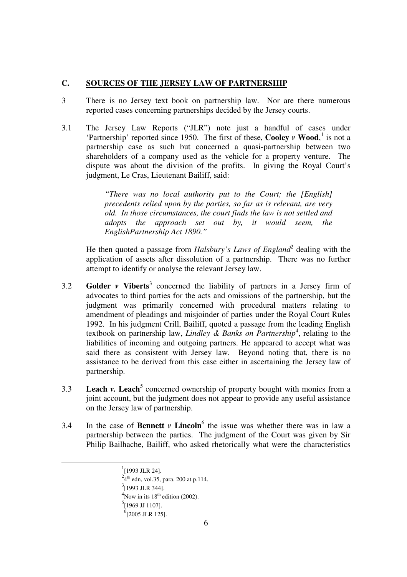### **C. SOURCES OF THE JERSEY LAW OF PARTNERSHIP**

- 3 There is no Jersey text book on partnership law. Nor are there numerous reported cases concerning partnerships decided by the Jersey courts.
- 3.1 The Jersey Law Reports ("JLR") note just a handful of cases under 'Partnership' reported since 1950. The first of these, **Cooley** *v* **Wood**, 1 is not a partnership case as such but concerned a quasi-partnership between two shareholders of a company used as the vehicle for a property venture. The dispute was about the division of the profits. In giving the Royal Court's judgment, Le Cras, Lieutenant Bailiff, said:

*"There was no local authority put to the Court; the [English] precedents relied upon by the parties, so far as is relevant, are very old. In those circumstances, the court finds the law is not settled and adopts the approach set out by, it would seem, the EnglishPartnership Act 1890."* 

He then quoted a passage from *Halsbury's Laws of England*<sup>2</sup> dealing with the application of assets after dissolution of a partnership. There was no further attempt to identify or analyse the relevant Jersey law.

- 3.2 **Golder** *v* **Viberts**<sup>3</sup> concerned the liability of partners in a Jersey firm of advocates to third parties for the acts and omissions of the partnership, but the judgment was primarily concerned with procedural matters relating to amendment of pleadings and misjoinder of parties under the Royal Court Rules 1992. In his judgment Crill, Bailiff, quoted a passage from the leading English textbook on partnership law, *Lindley & Banks on Partnership<sup>4</sup>*, relating to the liabilities of incoming and outgoing partners. He appeared to accept what was said there as consistent with Jersey law. Beyond noting that, there is no assistance to be derived from this case either in ascertaining the Jersey law of partnership.
- 3.3 **Leach** *v***. Leach<sup>5</sup>** concerned ownership of property bought with monies from a joint account, but the judgment does not appear to provide any useful assistance on the Jersey law of partnership.
- 3.4 In the case of **Bennett**  $\nu$  **Lincoln**<sup>6</sup> the issue was whether there was in law a partnership between the parties. The judgment of the Court was given by Sir Philip Bailhache, Bailiff, who asked rhetorically what were the characteristics

 $4$ Now in its 18<sup>th</sup> edition (2002).

 <sup>1</sup>  $^{1}$ [1993 JLR 24].

 $^{2}$ 4<sup>th</sup> edn, vol.35, para. 200 at p.114.

 $3$ [1993 JLR 344].

 $<sup>5</sup>[1969$  JJ 1107].</sup>

 $^{6}$ [2005 JLR 125].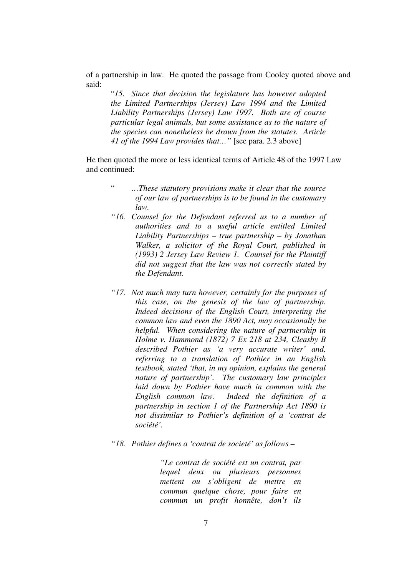of a partnership in law. He quoted the passage from Cooley quoted above and said:

"*15. Since that decision the legislature has however adopted the Limited Partnerships (Jersey) Law 1994 and the Limited Liability Partnerships (Jersey) Law 1997. Both are of course particular legal animals, but some assistance as to the nature of the species can nonetheless be drawn from the statutes. Article 41 of the 1994 Law provides that…"* [see para. 2.3 above]

He then quoted the more or less identical terms of Article 48 of the 1997 Law and continued:

- " *…These statutory provisions make it clear that the source of our law of partnerships is to be found in the customary law.*
- *"16. Counsel for the Defendant referred us to a number of authorities and to a useful article entitled Limited Liability Partnerships – true partnership – by Jonathan Walker, a solicitor of the Royal Court, published in (1993) 2 Jersey Law Review 1. Counsel for the Plaintiff did not suggest that the law was not correctly stated by the Defendant.*
- *"17. Not much may turn however, certainly for the purposes of this case, on the genesis of the law of partnership. Indeed decisions of the English Court, interpreting the common law and even the 1890 Act, may occasionally be helpful. When considering the nature of partnership in Holme v. Hammond (1872) 7 Ex 218 at 234, Cleasby B described Pothier as 'a very accurate writer' and, referring to a translation of Pothier in an English textbook, stated 'that, in my opinion, explains the general nature of partnership'. The customary law principles laid down by Pothier have much in common with the English common law. Indeed the definition of a partnership in section 1 of the Partnership Act 1890 is not dissimilar to Pothier's definition of a 'contrat de société'.*
- *"18. Pothier defines a 'contrat de societé' as follows*

*"Le contrat de société est un contrat, par lequel deux ou plusieurs personnes mettent ou s'obligent de mettre en commun quelque chose, pour faire en commun un profit honnête, don't ils*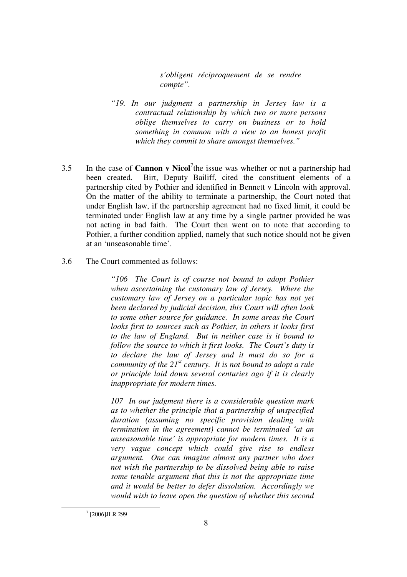*s'obligent réciproquement de se rendre compte".* 

- *"19. In our judgment a partnership in Jersey law is a contractual relationship by which two or more persons oblige themselves to carry on business or to hold something in common with a view to an honest profit which they commit to share amongst themselves."*
- 3.5 In the case of **Cannon v Nicol**<sup>7</sup> the issue was whether or not a partnership had been created. Birt, Deputy Bailiff, cited the constituent elements of a partnership cited by Pothier and identified in Bennett v Lincoln with approval. On the matter of the ability to terminate a partnership, the Court noted that under English law, if the partnership agreement had no fixed limit, it could be terminated under English law at any time by a single partner provided he was not acting in bad faith. The Court then went on to note that according to Pothier, a further condition applied, namely that such notice should not be given at an 'unseasonable time'.
- 3.6 The Court commented as follows:

*"106 The Court is of course not bound to adopt Pothier when ascertaining the customary law of Jersey. Where the customary law of Jersey on a particular topic has not yet been declared by judicial decision, this Court will often look to some other source for guidance. In some areas the Court looks first to sources such as Pothier, in others it looks first to the law of England. But in neither case is it bound to follow the source to which it first looks. The Court's duty is to declare the law of Jersey and it must do so for a community of the 21<sup>st</sup> century. It is not bound to adopt a rule or principle laid down several centuries ago if it is clearly inappropriate for modern times.* 

*107 In our judgment there is a considerable question mark as to whether the principle that a partnership of unspecified duration (assuming no specific provision dealing with termination in the agreement) cannot be terminated 'at an unseasonable time' is appropriate for modern times. It is a very vague concept which could give rise to endless argument. One can imagine almost any partner who does not wish the partnership to be dissolved being able to raise some tenable argument that this is not the appropriate time and it would be better to defer dissolution. Accordingly we would wish to leave open the question of whether this second* 

 $\frac{1}{7}$  $7$  [2006]JLR 299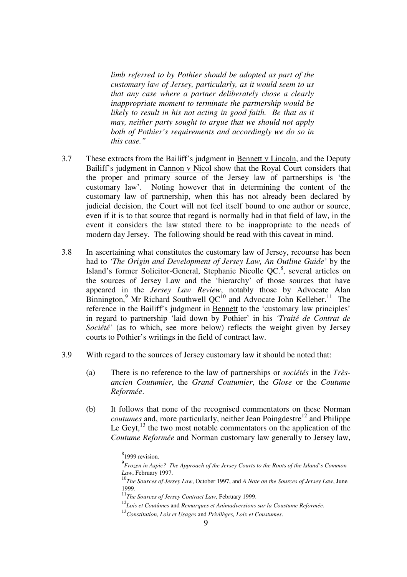*limb referred to by Pothier should be adopted as part of the customary law of Jersey, particularly, as it would seem to us that any case where a partner deliberately chose a clearly inappropriate moment to terminate the partnership would be likely to result in his not acting in good faith. Be that as it may, neither party sought to argue that we should not apply both of Pothier's requirements and accordingly we do so in this case."* 

- 3.7 These extracts from the Bailiff's judgment in Bennett v Lincoln, and the Deputy Bailiff's judgment in Cannon v Nicol show that the Royal Court considers that the proper and primary source of the Jersey law of partnerships is 'the customary law'. Noting however that in determining the content of the customary law of partnership, when this has not already been declared by judicial decision, the Court will not feel itself bound to one author or source, even if it is to that source that regard is normally had in that field of law, in the event it considers the law stated there to be inappropriate to the needs of modern day Jersey. The following should be read with this caveat in mind.
- 3.8 In ascertaining what constitutes the customary law of Jersey, recourse has been had to *'The Origin and Development of Jersey Law, An Outline Guide'* by the Island's former Solicitor-General, Stephanie Nicolle QC.<sup>8</sup>, several articles on the sources of Jersey Law and the 'hierarchy' of those sources that have appeared in the *Jersey Law Review*, notably those by Advocate Alan Binnington,<sup>9</sup> Mr Richard Southwell  $QC^{10}$  and Advocate John Kelleher.<sup>11</sup> The reference in the Bailiff's judgment in Bennett to the 'customary law principles' in regard to partnership 'laid down by Pothier' in his *'Traité de Contrat de Société'* (as to which, see more below) reflects the weight given by Jersey courts to Pothier's writings in the field of contract law.
- 3.9 With regard to the sources of Jersey customary law it should be noted that:
	- (a) There is no reference to the law of partnerships or *sociétés* in the *Trèsancien Coutumier*, the *Grand Coutumier*, the *Glose* or the *Coutume Reformée*.
	- (b) It follows that none of the recognised commentators on these Norman *coutumes* and, more particularly, neither Jean Poingdestre<sup>12</sup> and Philippe Le Geyt, $^{13}$  the two most notable commentators on the application of the *Coutume Reformée* and Norman customary law generally to Jersey law,

 <sup>8</sup>  $8$ 1999 revision.

<sup>9</sup> *Frozen in Aspic? The Approach of the Jersey Courts to the Roots of the Island's Common Law*, February 1997.

<sup>10</sup>*The Sources of Jersey Law*, October 1997, and *A Note on the Sources of Jersey Law*, June 1999.

<sup>11</sup>*The Sources of Jersey Contract Law*, February 1999.

<sup>12</sup>*Lois et Coutûmes* and *Remarques et Animadversions sur la Coustume Reformée*. 13*Constitution, Lois et Usages* and *Privilèges, Loix et Coustumes*.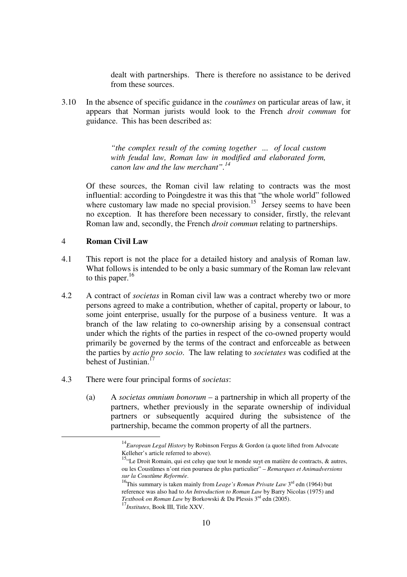dealt with partnerships. There is therefore no assistance to be derived from these sources.

3.10 In the absence of specific guidance in the *coutûmes* on particular areas of law, it appears that Norman jurists would look to the French *droit commun* for guidance. This has been described as:

> *"the complex result of the coming together ... of local custom with feudal law, Roman law in modified and elaborated form, canon law and the law merchant".14*

Of these sources, the Roman civil law relating to contracts was the most influential: according to Poingdestre it was this that "the whole world" followed where customary law made no special provision.<sup>15</sup> Jersey seems to have been no exception. It has therefore been necessary to consider, firstly, the relevant Roman law and, secondly, the French *droit commun* relating to partnerships.

#### 4 **Roman Civil Law**

- 4.1 This report is not the place for a detailed history and analysis of Roman law. What follows is intended to be only a basic summary of the Roman law relevant to this paper. $16$
- 4.2 A contract of *societas* in Roman civil law was a contract whereby two or more persons agreed to make a contribution, whether of capital, property or labour, to some joint enterprise, usually for the purpose of a business venture. It was a branch of the law relating to co-ownership arising by a consensual contract under which the rights of the parties in respect of the co-owned property would primarily be governed by the terms of the contract and enforceable as between the parties by *actio pro socio*. The law relating to *societates* was codified at the behest of Justinian.
- 4.3 There were four principal forms of *societas*:
	- (a) A *societas omnium bonorum* a partnership in which all property of the partners, whether previously in the separate ownership of individual partners or subsequently acquired during the subsistence of the partnership, became the common property of all the partners.

<sup>&</sup>lt;sup>14</sup>*European Legal History* by Robinson Fergus & Gordon (a quote lifted from Advocate Kelleher's article referred to above).

<sup>&</sup>lt;sup>15.</sup> Le Droit Romain, qui est celuy que tout le monde suyt en matière de contracts,  $\&$  autres, ou les Coustûmes n'ont rien pourueu de plus particulier" – *Remarques et Animadversions* 

<sup>&</sup>lt;sup>16</sup>This summary is taken mainly from *Leage's Roman Private Law* 3<sup>rd</sup> edn (1964) but reference was also had to *An Introduction to Roman Law* by Barry Nicolas (1975) and *Textbook on Roman Law* by Borkowski & Du Plessis 3rd edn (2005).

<sup>17</sup>*Institutes*, Book III, Title XXV.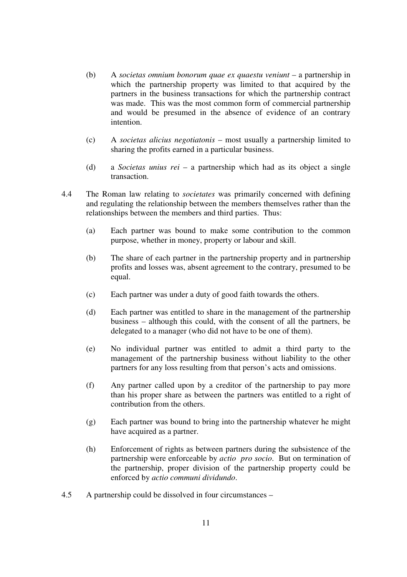- (b) A *societas omnium bonorum quae ex quaestu veniunt* a partnership in which the partnership property was limited to that acquired by the partners in the business transactions for which the partnership contract was made. This was the most common form of commercial partnership and would be presumed in the absence of evidence of an contrary intention.
- (c) A *societas alicius negotiatonis* most usually a partnership limited to sharing the profits earned in a particular business.
- (d) a *Societas unius rei* a partnership which had as its object a single transaction.
- 4.4 The Roman law relating to *societates* was primarily concerned with defining and regulating the relationship between the members themselves rather than the relationships between the members and third parties. Thus:
	- (a) Each partner was bound to make some contribution to the common purpose, whether in money, property or labour and skill.
	- (b) The share of each partner in the partnership property and in partnership profits and losses was, absent agreement to the contrary, presumed to be equal.
	- (c) Each partner was under a duty of good faith towards the others.
	- (d) Each partner was entitled to share in the management of the partnership business – although this could, with the consent of all the partners, be delegated to a manager (who did not have to be one of them).
	- (e) No individual partner was entitled to admit a third party to the management of the partnership business without liability to the other partners for any loss resulting from that person's acts and omissions.
	- (f) Any partner called upon by a creditor of the partnership to pay more than his proper share as between the partners was entitled to a right of contribution from the others.
	- (g) Each partner was bound to bring into the partnership whatever he might have acquired as a partner.
	- (h) Enforcement of rights as between partners during the subsistence of the partnership were enforceable by *actio pro socio*. But on termination of the partnership, proper division of the partnership property could be enforced by *actio communi dividundo*.
- 4.5 A partnership could be dissolved in four circumstances –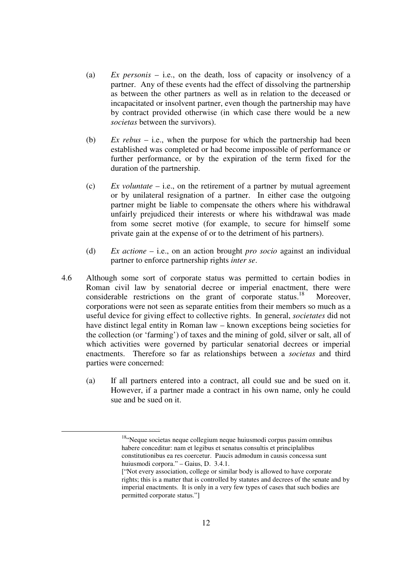- (a) *Ex personis* i.e., on the death, loss of capacity or insolvency of a partner. Any of these events had the effect of dissolving the partnership as between the other partners as well as in relation to the deceased or incapacitated or insolvent partner, even though the partnership may have by contract provided otherwise (in which case there would be a new *societas* between the survivors).
- (b) *Ex rebus* i.e., when the purpose for which the partnership had been established was completed or had become impossible of performance or further performance, or by the expiration of the term fixed for the duration of the partnership.
- (c) *Ex voluntate* i.e., on the retirement of a partner by mutual agreement or by unilateral resignation of a partner. In either case the outgoing partner might be liable to compensate the others where his withdrawal unfairly prejudiced their interests or where his withdrawal was made from some secret motive (for example, to secure for himself some private gain at the expense of or to the detriment of his partners).
- (d) *Ex actione* i.e., on an action brought *pro socio* against an individual partner to enforce partnership rights *inter se*.
- 4.6 Although some sort of corporate status was permitted to certain bodies in Roman civil law by senatorial decree or imperial enactment, there were considerable restrictions on the grant of corporate status.<sup>18</sup> Moreover, corporations were not seen as separate entities from their members so much as a useful device for giving effect to collective rights. In general, *societates* did not have distinct legal entity in Roman law – known exceptions being societies for the collection (or 'farming') of taxes and the mining of gold, silver or salt, all of which activities were governed by particular senatorial decrees or imperial enactments. Therefore so far as relationships between a *societas* and third parties were concerned:
	- (a) If all partners entered into a contract, all could sue and be sued on it. However, if a partner made a contract in his own name, only he could sue and be sued on it.

<sup>&</sup>lt;sup>18"</sup>Neque societas neque collegium neque huiusmodi corpus passim omnibus habere conceditur: nam et legibus et senatus consultis et principlalibus constitutionibus ea res coercetur. Paucis admodum in causis concessa sunt huiusmodi corpora." – Gaius, D. 3.4.1.

<sup>[&</sup>quot;Not every association, college or similar body is allowed to have corporate rights; this is a matter that is controlled by statutes and decrees of the senate and by imperial enactments. It is only in a very few types of cases that such bodies are permitted corporate status."]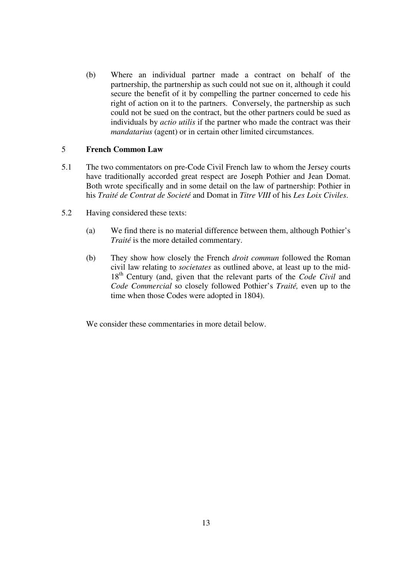(b) Where an individual partner made a contract on behalf of the partnership, the partnership as such could not sue on it, although it could secure the benefit of it by compelling the partner concerned to cede his right of action on it to the partners. Conversely, the partnership as such could not be sued on the contract, but the other partners could be sued as individuals by *actio utilis* if the partner who made the contract was their *mandatarius* (agent) or in certain other limited circumstances.

#### 5 **French Common Law**

- 5.1 The two commentators on pre-Code Civil French law to whom the Jersey courts have traditionally accorded great respect are Joseph Pothier and Jean Domat. Both wrote specifically and in some detail on the law of partnership: Pothier in his *Traité de Contrat de Societé* and Domat in *Titre VIII* of his *Les Loix Civiles*.
- 5.2 Having considered these texts:
	- (a) We find there is no material difference between them, although Pothier's *Traité* is the more detailed commentary.
	- (b) They show how closely the French *droit commun* followed the Roman civil law relating to *societates* as outlined above, at least up to the mid-18<sup>th</sup> Century (and, given that the relevant parts of the *Code Civil* and *Code Commercial* so closely followed Pothier's *Traité,* even up to the time when those Codes were adopted in 1804).

We consider these commentaries in more detail below.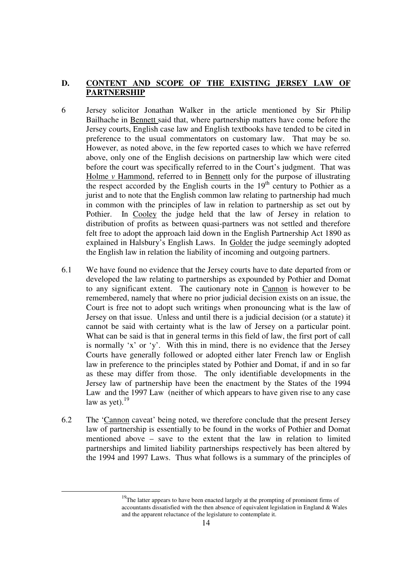## **D. CONTENT AND SCOPE OF THE EXISTING JERSEY LAW OF PARTNERSHIP**

- 6 Jersey solicitor Jonathan Walker in the article mentioned by Sir Philip Bailhache in Bennett said that, where partnership matters have come before the Jersey courts, English case law and English textbooks have tended to be cited in preference to the usual commentators on customary law. That may be so. However, as noted above, in the few reported cases to which we have referred above, only one of the English decisions on partnership law which were cited before the court was specifically referred to in the Court's judgment. That was Holme *v* Hammond, referred to in Bennett only for the purpose of illustrating the respect accorded by the English courts in the  $19<sup>th</sup>$  century to Pothier as a jurist and to note that the English common law relating to partnership had much in common with the principles of law in relation to partnership as set out by Pothier. In Cooley the judge held that the law of Jersey in relation to distribution of profits as between quasi-partners was not settled and therefore felt free to adopt the approach laid down in the English Partnership Act 1890 as explained in Halsbury's English Laws. In Golder the judge seemingly adopted the English law in relation the liability of incoming and outgoing partners.
- 6.1 We have found no evidence that the Jersey courts have to date departed from or developed the law relating to partnerships as expounded by Pothier and Domat to any significant extent. The cautionary note in Cannon is however to be remembered, namely that where no prior judicial decision exists on an issue, the Court is free not to adopt such writings when pronouncing what is the law of Jersey on that issue. Unless and until there is a judicial decision (or a statute) it cannot be said with certainty what is the law of Jersey on a particular point. What can be said is that in general terms in this field of law, the first port of call is normally 'x' or 'y'. With this in mind, there is no evidence that the Jersey Courts have generally followed or adopted either later French law or English law in preference to the principles stated by Pothier and Domat, if and in so far as these may differ from those. The only identifiable developments in the Jersey law of partnership have been the enactment by the States of the 1994 Law and the 1997 Law (neither of which appears to have given rise to any case law as yet). $19$
- 6.2 The 'Cannon caveat' being noted, we therefore conclude that the present Jersey law of partnership is essentially to be found in the works of Pothier and Domat mentioned above – save to the extent that the law in relation to limited partnerships and limited liability partnerships respectively has been altered by the 1994 and 1997 Laws. Thus what follows is a summary of the principles of

 $19$ The latter appears to have been enacted largely at the prompting of prominent firms of accountants dissatisfied with the then absence of equivalent legislation in England  $&$  Wales and the apparent reluctance of the legislature to contemplate it.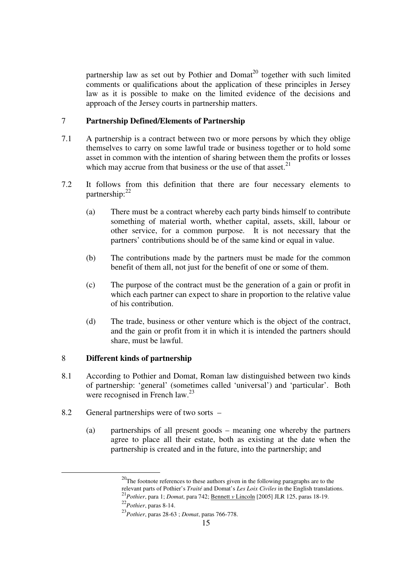partnership law as set out by Pothier and Domat<sup>20</sup> together with such limited comments or qualifications about the application of these principles in Jersey law as it is possible to make on the limited evidence of the decisions and approach of the Jersey courts in partnership matters.

## 7 **Partnership Defined/Elements of Partnership**

- 7.1 A partnership is a contract between two or more persons by which they oblige themselves to carry on some lawful trade or business together or to hold some asset in common with the intention of sharing between them the profits or losses which may accrue from that business or the use of that asset. $2<sup>1</sup>$
- 7.2 It follows from this definition that there are four necessary elements to partnership: $^{22}$ 
	- (a) There must be a contract whereby each party binds himself to contribute something of material worth, whether capital, assets, skill, labour or other service, for a common purpose. It is not necessary that the partners' contributions should be of the same kind or equal in value.
	- (b) The contributions made by the partners must be made for the common benefit of them all, not just for the benefit of one or some of them.
	- (c) The purpose of the contract must be the generation of a gain or profit in which each partner can expect to share in proportion to the relative value of his contribution.
	- (d) The trade, business or other venture which is the object of the contract, and the gain or profit from it in which it is intended the partners should share, must be lawful.

### 8 **Different kinds of partnership**

- 8.1 According to Pothier and Domat, Roman law distinguished between two kinds of partnership: 'general' (sometimes called 'universal') and 'particular'. Both were recognised in French law.<sup>23</sup>
- 8.2 General partnerships were of two sorts
	- (a) partnerships of all present goods meaning one whereby the partners agree to place all their estate, both as existing at the date when the partnership is created and in the future, into the partnership; and

 $20$ The footnote references to these authors given in the following paragraphs are to the relevant parts of Pothier's *Traité* and Domat's *Les Loix Civiles* in the English translations. <sup>21</sup>*Pothier*, para 1; *Domat*, para 742; Bennett *v* Lincoln [2005] JLR 125, paras 18-19.

<sup>22</sup>*Pothier*, paras 8-14.

<sup>23</sup>*Pothier*, paras 28-63 ; *Domat*, paras 766-778.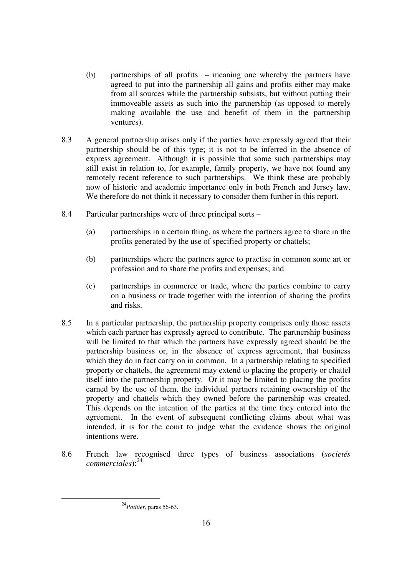- (b) partnerships of all profits meaning one whereby the partners have agreed to put into the partnership all gains and profits either may make from all sources while the partnership subsists, but without putting their immoveable assets as such into the partnership (as opposed to merely making available the use and benefit of them in the partnership ventures).
- 8.3 A general partnership arises only if the parties have expressly agreed that their partnership should be of this type; it is not to be inferred in the absence of express agreement. Although it is possible that some such partnerships may still exist in relation to, for example, family property, we have not found any remotely recent reference to such partnerships. We think these are probably now of historic and academic importance only in both French and Jersey law. We therefore do not think it necessary to consider them further in this report.
- 8.4 Particular partnerships were of three principal sorts
	- (a) partnerships in a certain thing, as where the partners agree to share in the profits generated by the use of specified property or chattels;
	- (b) partnerships where the partners agree to practise in common some art or profession and to share the profits and expenses; and
	- (c) partnerships in commerce or trade, where the parties combine to carry on a business or trade together with the intention of sharing the profits and risks.
- 8.5 In a particular partnership, the partnership property comprises only those assets which each partner has expressly agreed to contribute. The partnership business will be limited to that which the partners have expressly agreed should be the partnership business or, in the absence of express agreement, that business which they do in fact carry on in common. In a partnership relating to specified property or chattels, the agreement may extend to placing the property or chattel itself into the partnership property. Or it may be limited to placing the profits earned by the use of them, the individual partners retaining ownership of the property and chattels which they owned before the partnership was created. This depends on the intention of the parties at the time they entered into the agreement. In the event of subsequent conflicting claims about what was intended, it is for the court to judge what the evidence shows the original intentions were.
- 8.6 French law recognised three types of business associations (*societés commerciales*):<sup>24</sup>

 <sup>24</sup>*Pothier*, paras 56-63.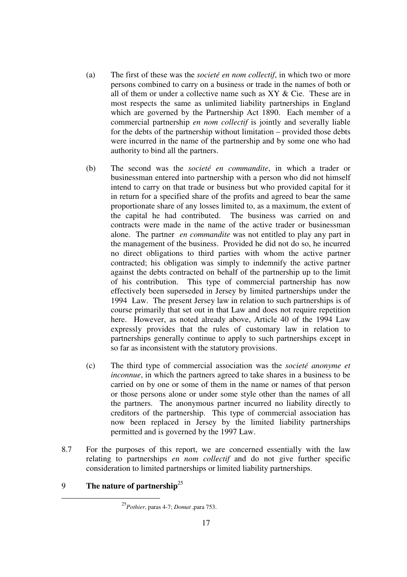- (a) The first of these was the *societé en nom collectif*, in which two or more persons combined to carry on a business or trade in the names of both or all of them or under a collective name such as XY & Cie. These are in most respects the same as unlimited liability partnerships in England which are governed by the Partnership Act 1890. Each member of a commercial partnership *en nom collectif* is jointly and severally liable for the debts of the partnership without limitation – provided those debts were incurred in the name of the partnership and by some one who had authority to bind all the partners.
- (b) The second was the *societé en commandite*, in which a trader or businessman entered into partnership with a person who did not himself intend to carry on that trade or business but who provided capital for it in return for a specified share of the profits and agreed to bear the same proportionate share of any losses limited to, as a maximum, the extent of the capital he had contributed. The business was carried on and contracts were made in the name of the active trader or businessman alone. The partner *en commandite* was not entitled to play any part in the management of the business. Provided he did not do so, he incurred no direct obligations to third parties with whom the active partner contracted; his obligation was simply to indemnify the active partner against the debts contracted on behalf of the partnership up to the limit of his contribution. This type of commercial partnership has now effectively been superseded in Jersey by limited partnerships under the 1994 Law. The present Jersey law in relation to such partnerships is of course primarily that set out in that Law and does not require repetition here. However, as noted already above, Article 40 of the 1994 Law expressly provides that the rules of customary law in relation to partnerships generally continue to apply to such partnerships except in so far as inconsistent with the statutory provisions.
- (c) The third type of commercial association was the *societé anonyme et inconnue*, in which the partners agreed to take shares in a business to be carried on by one or some of them in the name or names of that person or those persons alone or under some style other than the names of all the partners. The anonymous partner incurred no liability directly to creditors of the partnership. This type of commercial association has now been replaced in Jersey by the limited liability partnerships permitted and is governed by the 1997 Law.
- 8.7 For the purposes of this report, we are concerned essentially with the law relating to partnerships *en nom collectif* and do not give further specific consideration to limited partnerships or limited liability partnerships.

## 9 **The nature of partnership**<sup>25</sup>

 <sup>25</sup>*Pothier*, paras 4-7; *Domat* ,para 753.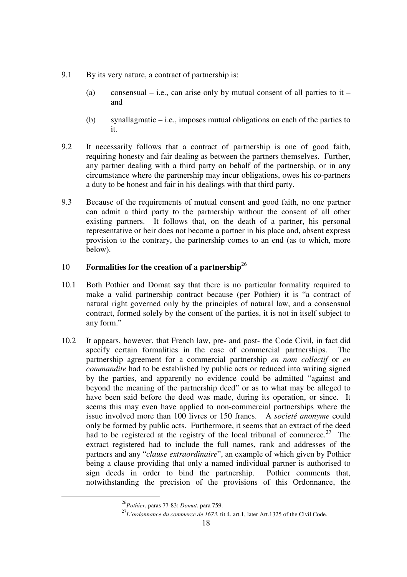- 9.1 By its very nature, a contract of partnership is:
	- (a) consensual i.e., can arise only by mutual consent of all parties to it and
	- (b) synallagmatic i.e., imposes mutual obligations on each of the parties to it.
- 9.2 It necessarily follows that a contract of partnership is one of good faith, requiring honesty and fair dealing as between the partners themselves. Further, any partner dealing with a third party on behalf of the partnership, or in any circumstance where the partnership may incur obligations, owes his co-partners a duty to be honest and fair in his dealings with that third party.
- 9.3 Because of the requirements of mutual consent and good faith, no one partner can admit a third party to the partnership without the consent of all other existing partners. It follows that, on the death of a partner, his personal representative or heir does not become a partner in his place and, absent express provision to the contrary, the partnership comes to an end (as to which, more below).

## 10 **Formalities for the creation of a partnership**<sup>26</sup>

- 10.1 Both Pothier and Domat say that there is no particular formality required to make a valid partnership contract because (per Pothier) it is "a contract of natural right governed only by the principles of natural law, and a consensual contract, formed solely by the consent of the parties, it is not in itself subject to any form."
- 10.2 It appears, however, that French law, pre- and post- the Code Civil, in fact did specify certain formalities in the case of commercial partnerships. The partnership agreement for a commercial partnership *en nom collectif* or *en commandite* had to be established by public acts or reduced into writing signed by the parties, and apparently no evidence could be admitted "against and beyond the meaning of the partnership deed" or as to what may be alleged to have been said before the deed was made, during its operation, or since. It seems this may even have applied to non-commercial partnerships where the issue involved more than 100 livres or 150 francs. A *societé anonyme* could only be formed by public acts. Furthermore, it seems that an extract of the deed had to be registered at the registry of the local tribunal of commerce.<sup>27</sup> The extract registered had to include the full names, rank and addresses of the partners and any "*clause extraordinaire*", an example of which given by Pothier being a clause providing that only a named individual partner is authorised to sign deeds in order to bind the partnership. Pothier comments that, notwithstanding the precision of the provisions of this Ordonnance, the

 <sup>26</sup>*Pothier*, paras 77-83; *Domat*, para 759.

<sup>27</sup>*L'ordonnance du commerce de 1673*, tit.4, art.1, later Art.1325 of the Civil Code.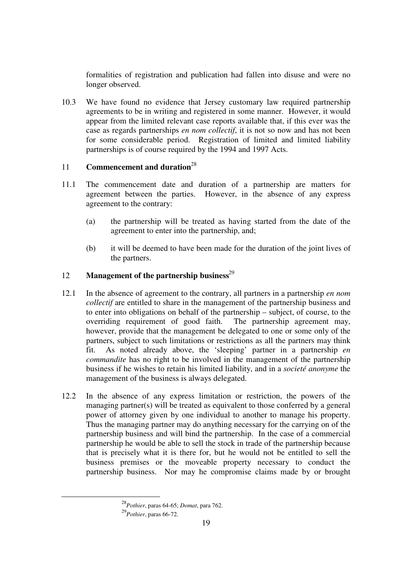formalities of registration and publication had fallen into disuse and were no longer observed.

10.3 We have found no evidence that Jersey customary law required partnership agreements to be in writing and registered in some manner. However, it would appear from the limited relevant case reports available that, if this ever was the case as regards partnerships *en nom collectif*, it is not so now and has not been for some considerable period. Registration of limited and limited liability partnerships is of course required by the 1994 and 1997 Acts.

## 11 **Commencement and duration**<sup>28</sup>

- 11.1 The commencement date and duration of a partnership are matters for agreement between the parties. However, in the absence of any express agreement to the contrary:
	- (a) the partnership will be treated as having started from the date of the agreement to enter into the partnership, and;
	- (b) it will be deemed to have been made for the duration of the joint lives of the partners.

## 12 **Management of the partnership business**<sup>29</sup>

- 12.1 In the absence of agreement to the contrary, all partners in a partnership *en nom collectif* are entitled to share in the management of the partnership business and to enter into obligations on behalf of the partnership – subject, of course, to the overriding requirement of good faith. The partnership agreement may, however, provide that the management be delegated to one or some only of the partners, subject to such limitations or restrictions as all the partners may think fit. As noted already above, the 'sleeping' partner in a partnership *en commandite* has no right to be involved in the management of the partnership business if he wishes to retain his limited liability, and in a *societé anonyme* the management of the business is always delegated.
- 12.2 In the absence of any express limitation or restriction, the powers of the managing partner(s) will be treated as equivalent to those conferred by a general power of attorney given by one individual to another to manage his property. Thus the managing partner may do anything necessary for the carrying on of the partnership business and will bind the partnership. In the case of a commercial partnership he would be able to sell the stock in trade of the partnership because that is precisely what it is there for, but he would not be entitled to sell the business premises or the moveable property necessary to conduct the partnership business. Nor may he compromise claims made by or brought

 <sup>28</sup>*Pothier*, paras 64-65; *Domat*, para 762. <sup>29</sup>*Pothier*, paras 66-72.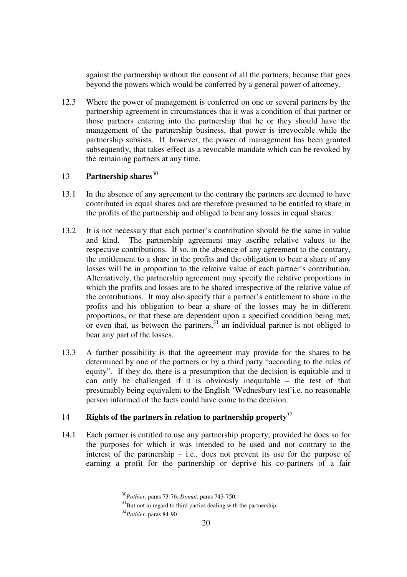against the partnership without the consent of all the partners, because that goes beyond the powers which would be conferred by a general power of attorney.

12.3 Where the power of management is conferred on one or several partners by the partnership agreement in circumstances that it was a condition of that partner or those partners entering into the partnership that he or they should have the management of the partnership business, that power is irrevocable while the partnership subsists. If, however, the power of management has been granted subsequently, that takes effect as a revocable mandate which can be revoked by the remaining partners at any time.

## 13 **Partnership shares**<sup>30</sup>

- 13.1 In the absence of any agreement to the contrary the partners are deemed to have contributed in equal shares and are therefore presumed to be entitled to share in the profits of the partnership and obliged to bear any losses in equal shares.
- 13.2 It is not necessary that each partner's contribution should be the same in value and kind. The partnership agreement may ascribe relative values to the respective contributions. If so, in the absence of any agreement to the contrary, the entitlement to a share in the profits and the obligation to bear a share of any losses will be in proportion to the relative value of each partner's contribution. Alternatively, the partnership agreement may specify the relative proportions in which the profits and losses are to be shared irrespective of the relative value of the contributions. It may also specify that a partner's entitlement to share in the profits and his obligation to bear a share of the losses may be in different proportions, or that these are dependent upon a specified condition being met, or even that, as between the partners,  $31$  an individual partner is not obliged to bear any part of the losses.
- 13.3 A further possibility is that the agreement may provide for the shares to be determined by one of the partners or by a third party "according to the rules of equity". If they do, there is a presumption that the decision is equitable and it can only be challenged if it is obviously inequitable – the test of that presumably being equivalent to the English 'Wednesbury test'i.e. no reasonable person informed of the facts could have come to the decision.

## 14 **Rights of the partners in relation to partnership property**<sup>32</sup>

14.1 Each partner is entitled to use any partnership property, provided he does so for the purposes for which it was intended to be used and not contrary to the interest of the partnership – i.e., does not prevent its use for the purpose of earning a profit for the partnership or deprive his co-partners of a fair

 <sup>30</sup>*Pothier*, paras 73-76; *Domat*, paras 743-750.

 $31$ But not in regard to third parties dealing with the partnership.

<sup>32</sup>*Pothier*, paras 84-90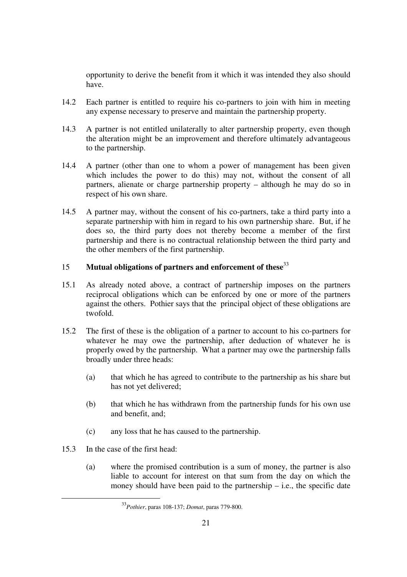opportunity to derive the benefit from it which it was intended they also should have.

- 14.2 Each partner is entitled to require his co-partners to join with him in meeting any expense necessary to preserve and maintain the partnership property.
- 14.3 A partner is not entitled unilaterally to alter partnership property, even though the alteration might be an improvement and therefore ultimately advantageous to the partnership.
- 14.4 A partner (other than one to whom a power of management has been given which includes the power to do this) may not, without the consent of all partners, alienate or charge partnership property – although he may do so in respect of his own share.
- 14.5 A partner may, without the consent of his co-partners, take a third party into a separate partnership with him in regard to his own partnership share. But, if he does so, the third party does not thereby become a member of the first partnership and there is no contractual relationship between the third party and the other members of the first partnership.

## 15 **Mutual obligations of partners and enforcement of these**<sup>33</sup>

- 15.1 As already noted above, a contract of partnership imposes on the partners reciprocal obligations which can be enforced by one or more of the partners against the others. Pothier says that the principal object of these obligations are twofold.
- 15.2 The first of these is the obligation of a partner to account to his co-partners for whatever he may owe the partnership, after deduction of whatever he is properly owed by the partnership. What a partner may owe the partnership falls broadly under three heads:
	- (a) that which he has agreed to contribute to the partnership as his share but has not yet delivered;
	- (b) that which he has withdrawn from the partnership funds for his own use and benefit, and;
	- (c) any loss that he has caused to the partnership.
- 15.3 In the case of the first head:
	- (a) where the promised contribution is a sum of money, the partner is also liable to account for interest on that sum from the day on which the money should have been paid to the partnership  $-$  i.e., the specific date

 <sup>33</sup>*Pothier*, paras 108-137; *Domat*, paras 779-800.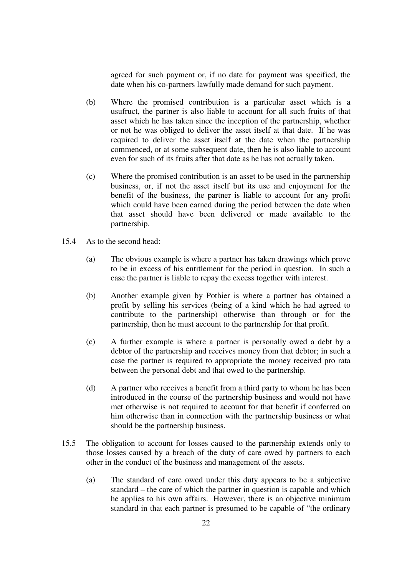agreed for such payment or, if no date for payment was specified, the date when his co-partners lawfully made demand for such payment.

- (b) Where the promised contribution is a particular asset which is a usufruct, the partner is also liable to account for all such fruits of that asset which he has taken since the inception of the partnership, whether or not he was obliged to deliver the asset itself at that date. If he was required to deliver the asset itself at the date when the partnership commenced, or at some subsequent date, then he is also liable to account even for such of its fruits after that date as he has not actually taken.
- (c) Where the promised contribution is an asset to be used in the partnership business, or, if not the asset itself but its use and enjoyment for the benefit of the business, the partner is liable to account for any profit which could have been earned during the period between the date when that asset should have been delivered or made available to the partnership.
- 15.4 As to the second head:
	- (a) The obvious example is where a partner has taken drawings which prove to be in excess of his entitlement for the period in question. In such a case the partner is liable to repay the excess together with interest.
	- (b) Another example given by Pothier is where a partner has obtained a profit by selling his services (being of a kind which he had agreed to contribute to the partnership) otherwise than through or for the partnership, then he must account to the partnership for that profit.
	- (c) A further example is where a partner is personally owed a debt by a debtor of the partnership and receives money from that debtor; in such a case the partner is required to appropriate the money received pro rata between the personal debt and that owed to the partnership.
	- (d) A partner who receives a benefit from a third party to whom he has been introduced in the course of the partnership business and would not have met otherwise is not required to account for that benefit if conferred on him otherwise than in connection with the partnership business or what should be the partnership business.
- 15.5 The obligation to account for losses caused to the partnership extends only to those losses caused by a breach of the duty of care owed by partners to each other in the conduct of the business and management of the assets.
	- (a) The standard of care owed under this duty appears to be a subjective standard – the care of which the partner in question is capable and which he applies to his own affairs. However, there is an objective minimum standard in that each partner is presumed to be capable of "the ordinary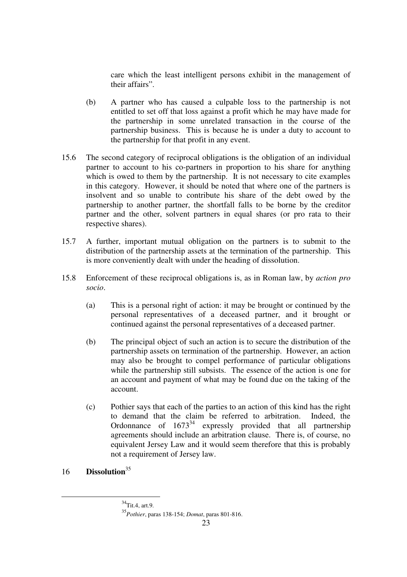care which the least intelligent persons exhibit in the management of their affairs".

- (b) A partner who has caused a culpable loss to the partnership is not entitled to set off that loss against a profit which he may have made for the partnership in some unrelated transaction in the course of the partnership business. This is because he is under a duty to account to the partnership for that profit in any event.
- 15.6 The second category of reciprocal obligations is the obligation of an individual partner to account to his co-partners in proportion to his share for anything which is owed to them by the partnership. It is not necessary to cite examples in this category. However, it should be noted that where one of the partners is insolvent and so unable to contribute his share of the debt owed by the partnership to another partner, the shortfall falls to be borne by the creditor partner and the other, solvent partners in equal shares (or pro rata to their respective shares).
- 15.7 A further, important mutual obligation on the partners is to submit to the distribution of the partnership assets at the termination of the partnership. This is more conveniently dealt with under the heading of dissolution.
- 15.8 Enforcement of these reciprocal obligations is, as in Roman law, by *action pro socio*.
	- (a) This is a personal right of action: it may be brought or continued by the personal representatives of a deceased partner, and it brought or continued against the personal representatives of a deceased partner.
	- (b) The principal object of such an action is to secure the distribution of the partnership assets on termination of the partnership. However, an action may also be brought to compel performance of particular obligations while the partnership still subsists. The essence of the action is one for an account and payment of what may be found due on the taking of the account.
	- (c) Pothier says that each of the parties to an action of this kind has the right to demand that the claim be referred to arbitration. Indeed, the Ordonnance of  $1673^{34}$  expressly provided that all partnership agreements should include an arbitration clause. There is, of course, no equivalent Jersey Law and it would seem therefore that this is probably not a requirement of Jersey law.
- 16 **Dissolution**<sup>35</sup>

<sup>&</sup>lt;sup>34</sup>Tit.4, art.9.

<sup>35</sup>*Pothier*, paras 138-154; *Domat*, paras 801-816.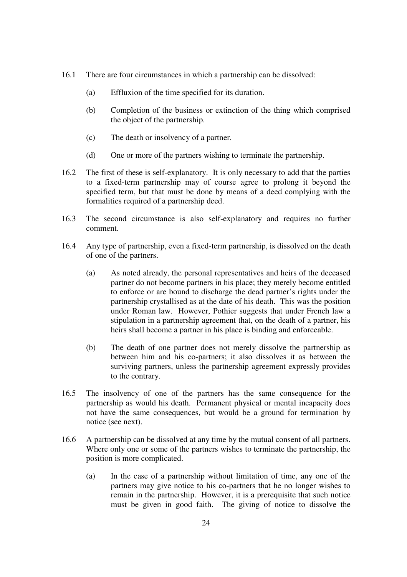- 16.1 There are four circumstances in which a partnership can be dissolved:
	- (a) Effluxion of the time specified for its duration.
	- (b) Completion of the business or extinction of the thing which comprised the object of the partnership.
	- (c) The death or insolvency of a partner.
	- (d) One or more of the partners wishing to terminate the partnership.
- 16.2 The first of these is self-explanatory. It is only necessary to add that the parties to a fixed-term partnership may of course agree to prolong it beyond the specified term, but that must be done by means of a deed complying with the formalities required of a partnership deed.
- 16.3 The second circumstance is also self-explanatory and requires no further comment.
- 16.4 Any type of partnership, even a fixed-term partnership, is dissolved on the death of one of the partners.
	- (a) As noted already, the personal representatives and heirs of the deceased partner do not become partners in his place; they merely become entitled to enforce or are bound to discharge the dead partner's rights under the partnership crystallised as at the date of his death. This was the position under Roman law. However, Pothier suggests that under French law a stipulation in a partnership agreement that, on the death of a partner, his heirs shall become a partner in his place is binding and enforceable.
	- (b) The death of one partner does not merely dissolve the partnership as between him and his co-partners; it also dissolves it as between the surviving partners, unless the partnership agreement expressly provides to the contrary.
- 16.5 The insolvency of one of the partners has the same consequence for the partnership as would his death. Permanent physical or mental incapacity does not have the same consequences, but would be a ground for termination by notice (see next).
- 16.6 A partnership can be dissolved at any time by the mutual consent of all partners. Where only one or some of the partners wishes to terminate the partnership, the position is more complicated.
	- (a) In the case of a partnership without limitation of time, any one of the partners may give notice to his co-partners that he no longer wishes to remain in the partnership. However, it is a prerequisite that such notice must be given in good faith. The giving of notice to dissolve the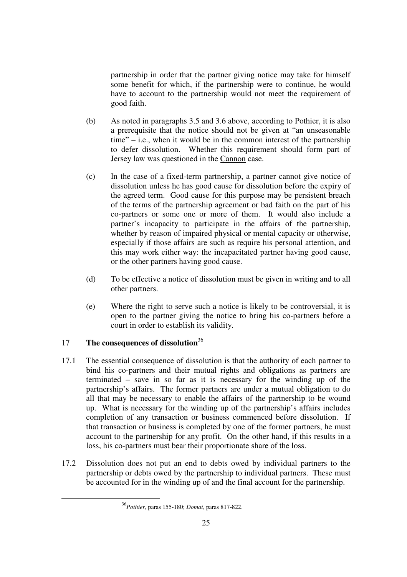partnership in order that the partner giving notice may take for himself some benefit for which, if the partnership were to continue, he would have to account to the partnership would not meet the requirement of good faith.

- (b) As noted in paragraphs 3.5 and 3.6 above, according to Pothier, it is also a prerequisite that the notice should not be given at "an unseasonable time" – i.e., when it would be in the common interest of the partnership to defer dissolution. Whether this requirement should form part of Jersey law was questioned in the Cannon case.
- (c) In the case of a fixed-term partnership, a partner cannot give notice of dissolution unless he has good cause for dissolution before the expiry of the agreed term. Good cause for this purpose may be persistent breach of the terms of the partnership agreement or bad faith on the part of his co-partners or some one or more of them. It would also include a partner's incapacity to participate in the affairs of the partnership, whether by reason of impaired physical or mental capacity or otherwise, especially if those affairs are such as require his personal attention, and this may work either way: the incapacitated partner having good cause, or the other partners having good cause.
- (d) To be effective a notice of dissolution must be given in writing and to all other partners.
- (e) Where the right to serve such a notice is likely to be controversial, it is open to the partner giving the notice to bring his co-partners before a court in order to establish its validity.

## 17 **The consequences of dissolution**<sup>36</sup>

- 17.1 The essential consequence of dissolution is that the authority of each partner to bind his co-partners and their mutual rights and obligations as partners are terminated – save in so far as it is necessary for the winding up of the partnership's affairs. The former partners are under a mutual obligation to do all that may be necessary to enable the affairs of the partnership to be wound up. What is necessary for the winding up of the partnership's affairs includes completion of any transaction or business commenced before dissolution. If that transaction or business is completed by one of the former partners, he must account to the partnership for any profit. On the other hand, if this results in a loss, his co-partners must bear their proportionate share of the loss.
- 17.2 Dissolution does not put an end to debts owed by individual partners to the partnership or debts owed by the partnership to individual partners. These must be accounted for in the winding up of and the final account for the partnership.

 <sup>36</sup>*Pothier*, paras 155-180; *Domat*, paras 817-822.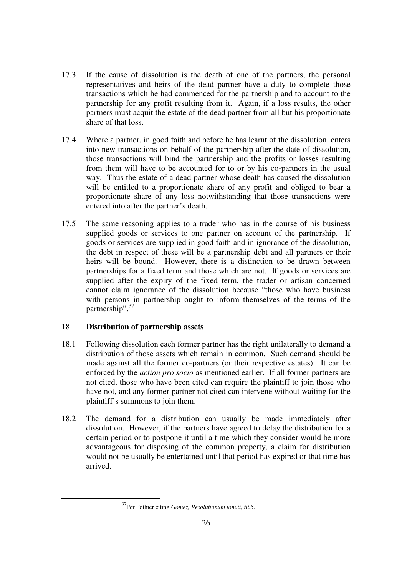- 17.3 If the cause of dissolution is the death of one of the partners, the personal representatives and heirs of the dead partner have a duty to complete those transactions which he had commenced for the partnership and to account to the partnership for any profit resulting from it. Again, if a loss results, the other partners must acquit the estate of the dead partner from all but his proportionate share of that loss.
- 17.4 Where a partner, in good faith and before he has learnt of the dissolution, enters into new transactions on behalf of the partnership after the date of dissolution, those transactions will bind the partnership and the profits or losses resulting from them will have to be accounted for to or by his co-partners in the usual way. Thus the estate of a dead partner whose death has caused the dissolution will be entitled to a proportionate share of any profit and obliged to bear a proportionate share of any loss notwithstanding that those transactions were entered into after the partner's death.
- 17.5 The same reasoning applies to a trader who has in the course of his business supplied goods or services to one partner on account of the partnership. If goods or services are supplied in good faith and in ignorance of the dissolution, the debt in respect of these will be a partnership debt and all partners or their heirs will be bound. However, there is a distinction to be drawn between partnerships for a fixed term and those which are not. If goods or services are supplied after the expiry of the fixed term, the trader or artisan concerned cannot claim ignorance of the dissolution because "those who have business with persons in partnership ought to inform themselves of the terms of the partnership".<sup>37</sup>

### 18 **Distribution of partnership assets**

- 18.1 Following dissolution each former partner has the right unilaterally to demand a distribution of those assets which remain in common. Such demand should be made against all the former co-partners (or their respective estates). It can be enforced by the *action pro socio* as mentioned earlier. If all former partners are not cited, those who have been cited can require the plaintiff to join those who have not, and any former partner not cited can intervene without waiting for the plaintiff's summons to join them.
- 18.2 The demand for a distribution can usually be made immediately after dissolution. However, if the partners have agreed to delay the distribution for a certain period or to postpone it until a time which they consider would be more advantageous for disposing of the common property, a claim for distribution would not be usually be entertained until that period has expired or that time has arrived.

 <sup>37</sup>Per Pothier citing *Gomez, Resolutionum tom.ii, tit.5*.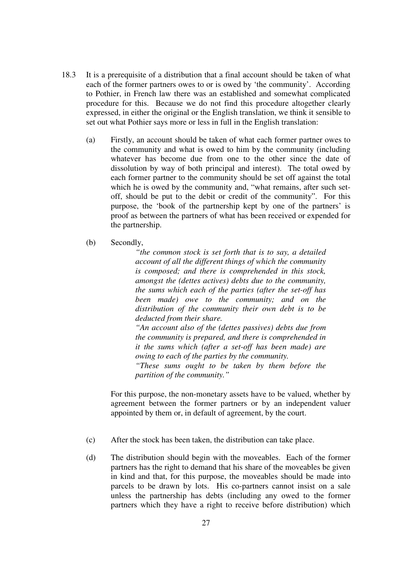- 18.3 It is a prerequisite of a distribution that a final account should be taken of what each of the former partners owes to or is owed by 'the community'. According to Pothier, in French law there was an established and somewhat complicated procedure for this. Because we do not find this procedure altogether clearly expressed, in either the original or the English translation, we think it sensible to set out what Pothier says more or less in full in the English translation:
	- (a) Firstly, an account should be taken of what each former partner owes to the community and what is owed to him by the community (including whatever has become due from one to the other since the date of dissolution by way of both principal and interest). The total owed by each former partner to the community should be set off against the total which he is owed by the community and, "what remains, after such setoff, should be put to the debit or credit of the community". For this purpose, the 'book of the partnership kept by one of the partners' is proof as between the partners of what has been received or expended for the partnership.
	- (b) Secondly,

*"the common stock is set forth that is to say, a detailed account of all the different things of which the community is composed; and there is comprehended in this stock, amongst the (dettes actives) debts due to the community, the sums which each of the parties (after the set-off has been made) owe to the community; and on the distribution of the community their own debt is to be deducted from their share.* 

*"An account also of the (dettes passives) debts due from the community is prepared, and there is comprehended in it the sums which (after a set-off has been made) are owing to each of the parties by the community.* 

*"These sums ought to be taken by them before the partition of the community."*

For this purpose, the non-monetary assets have to be valued, whether by agreement between the former partners or by an independent valuer appointed by them or, in default of agreement, by the court.

- (c) After the stock has been taken, the distribution can take place.
- (d) The distribution should begin with the moveables. Each of the former partners has the right to demand that his share of the moveables be given in kind and that, for this purpose, the moveables should be made into parcels to be drawn by lots. His co-partners cannot insist on a sale unless the partnership has debts (including any owed to the former partners which they have a right to receive before distribution) which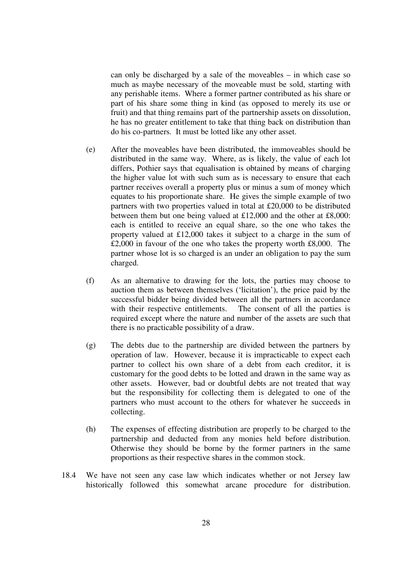can only be discharged by a sale of the moveables – in which case so much as maybe necessary of the moveable must be sold, starting with any perishable items. Where a former partner contributed as his share or part of his share some thing in kind (as opposed to merely its use or fruit) and that thing remains part of the partnership assets on dissolution, he has no greater entitlement to take that thing back on distribution than do his co-partners. It must be lotted like any other asset.

- (e) After the moveables have been distributed, the immoveables should be distributed in the same way. Where, as is likely, the value of each lot differs, Pothier says that equalisation is obtained by means of charging the higher value lot with such sum as is necessary to ensure that each partner receives overall a property plus or minus a sum of money which equates to his proportionate share. He gives the simple example of two partners with two properties valued in total at £20,000 to be distributed between them but one being valued at £12,000 and the other at £8,000: each is entitled to receive an equal share, so the one who takes the property valued at £12,000 takes it subject to a charge in the sum of £2,000 in favour of the one who takes the property worth £8,000. The partner whose lot is so charged is an under an obligation to pay the sum charged.
- (f) As an alternative to drawing for the lots, the parties may choose to auction them as between themselves ('licitation'), the price paid by the successful bidder being divided between all the partners in accordance with their respective entitlements. The consent of all the parties is required except where the nature and number of the assets are such that there is no practicable possibility of a draw.
- (g) The debts due to the partnership are divided between the partners by operation of law. However, because it is impracticable to expect each partner to collect his own share of a debt from each creditor, it is customary for the good debts to be lotted and drawn in the same way as other assets. However, bad or doubtful debts are not treated that way but the responsibility for collecting them is delegated to one of the partners who must account to the others for whatever he succeeds in collecting.
- (h) The expenses of effecting distribution are properly to be charged to the partnership and deducted from any monies held before distribution. Otherwise they should be borne by the former partners in the same proportions as their respective shares in the common stock.
- 18.4 We have not seen any case law which indicates whether or not Jersey law historically followed this somewhat arcane procedure for distribution.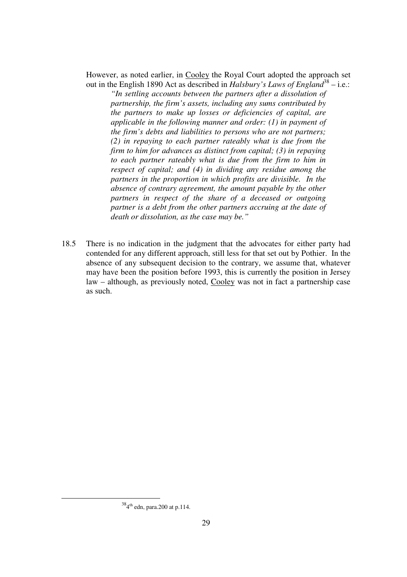However, as noted earlier, in Cooley the Royal Court adopted the approach set out in the English 1890 Act as described in *Halsbury's Laws of England*<sup>38</sup> – i.e.:

*"In settling accounts between the partners after a dissolution of partnership, the firm's assets, including any sums contributed by the partners to make up losses or deficiencies of capital, are applicable in the following manner and order: (1) in payment of the firm's debts and liabilities to persons who are not partners; (2) in repaying to each partner rateably what is due from the firm to him for advances as distinct from capital; (3) in repaying to each partner rateably what is due from the firm to him in respect of capital; and (4) in dividing any residue among the partners in the proportion in which profits are divisible. In the absence of contrary agreement, the amount payable by the other partners in respect of the share of a deceased or outgoing partner is a debt from the other partners accruing at the date of death or dissolution, as the case may be."* 

18.5 There is no indication in the judgment that the advocates for either party had contended for any different approach, still less for that set out by Pothier. In the absence of any subsequent decision to the contrary, we assume that, whatever may have been the position before 1993, this is currently the position in Jersey law – although, as previously noted, Cooley was not in fact a partnership case as such.

 $384$ <sup>th</sup> edn, para.200 at p.114.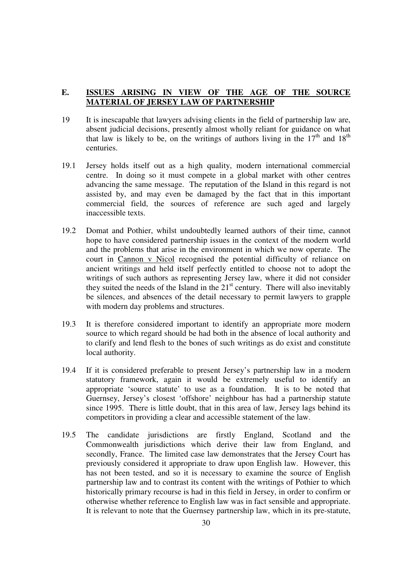#### **E. ISSUES ARISING IN VIEW OF THE AGE OF THE SOURCE MATERIAL OF JERSEY LAW OF PARTNERSHIP**

- 19 It is inescapable that lawyers advising clients in the field of partnership law are, absent judicial decisions, presently almost wholly reliant for guidance on what that law is likely to be, on the writings of authors living in the  $17<sup>th</sup>$  and  $18<sup>th</sup>$ centuries.
- 19.1 Jersey holds itself out as a high quality, modern international commercial centre. In doing so it must compete in a global market with other centres advancing the same message. The reputation of the Island in this regard is not assisted by, and may even be damaged by the fact that in this important commercial field, the sources of reference are such aged and largely inaccessible texts.
- 19.2 Domat and Pothier, whilst undoubtedly learned authors of their time, cannot hope to have considered partnership issues in the context of the modern world and the problems that arise in the environment in which we now operate. The court in Cannon v Nicol recognised the potential difficulty of reliance on ancient writings and held itself perfectly entitled to choose not to adopt the writings of such authors as representing Jersey law, where it did not consider they suited the needs of the Island in the  $21<sup>st</sup>$  century. There will also inevitably be silences, and absences of the detail necessary to permit lawyers to grapple with modern day problems and structures.
- 19.3 It is therefore considered important to identify an appropriate more modern source to which regard should be had both in the absence of local authority and to clarify and lend flesh to the bones of such writings as do exist and constitute local authority.
- 19.4 If it is considered preferable to present Jersey's partnership law in a modern statutory framework, again it would be extremely useful to identify an appropriate 'source statute' to use as a foundation. It is to be noted that Guernsey, Jersey's closest 'offshore' neighbour has had a partnership statute since 1995. There is little doubt, that in this area of law, Jersey lags behind its competitors in providing a clear and accessible statement of the law.
- 19.5 The candidate jurisdictions are firstly England, Scotland and the Commonwealth jurisdictions which derive their law from England, and secondly, France. The limited case law demonstrates that the Jersey Court has previously considered it appropriate to draw upon English law. However, this has not been tested, and so it is necessary to examine the source of English partnership law and to contrast its content with the writings of Pothier to which historically primary recourse is had in this field in Jersey, in order to confirm or otherwise whether reference to English law was in fact sensible and appropriate. It is relevant to note that the Guernsey partnership law, which in its pre-statute,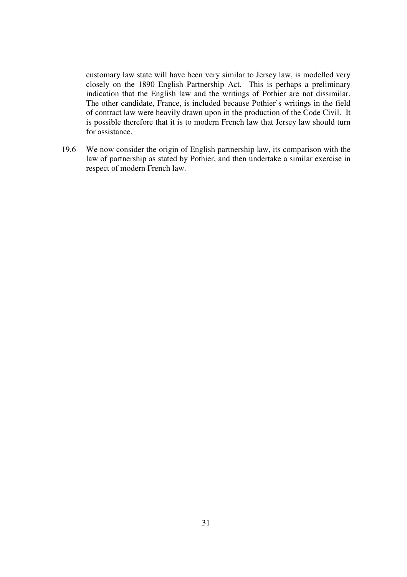customary law state will have been very similar to Jersey law, is modelled very closely on the 1890 English Partnership Act. This is perhaps a preliminary indication that the English law and the writings of Pothier are not dissimilar. The other candidate, France, is included because Pothier's writings in the field of contract law were heavily drawn upon in the production of the Code Civil. It is possible therefore that it is to modern French law that Jersey law should turn for assistance.

19.6 We now consider the origin of English partnership law, its comparison with the law of partnership as stated by Pothier, and then undertake a similar exercise in respect of modern French law.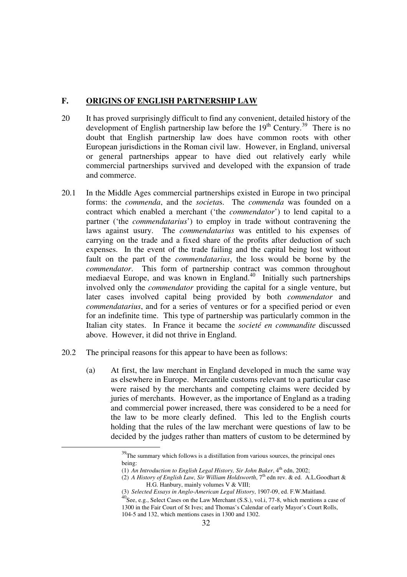#### **F. ORIGINS OF ENGLISH PARTNERSHIP LAW**

- 20 It has proved surprisingly difficult to find any convenient, detailed history of the development of English partnership law before the  $19<sup>th</sup>$  Century.<sup>39</sup> There is no doubt that English partnership law does have common roots with other European jurisdictions in the Roman civil law. However, in England, universal or general partnerships appear to have died out relatively early while commercial partnerships survived and developed with the expansion of trade and commerce.
- 20.1 In the Middle Ages commercial partnerships existed in Europe in two principal forms: the *commenda*, and the *societa*s. The *commenda* was founded on a contract which enabled a merchant ('the *commendator*') to lend capital to a partner ('the *commendatarius*') to employ in trade without contravening the laws against usury. The *commendatarius* was entitled to his expenses of carrying on the trade and a fixed share of the profits after deduction of such expenses. In the event of the trade failing and the capital being lost without fault on the part of the *commendatarius*, the loss would be borne by the *commendator*. This form of partnership contract was common throughout mediaeval Europe, and was known in England.<sup>40</sup> Initially such partnerships involved only the *commendator* providing the capital for a single venture, but later cases involved capital being provided by both *commendator* and *commendatarius*, and for a series of ventures or for a specified period or even for an indefinite time. This type of partnership was particularly common in the Italian city states. In France it became the *societé en commandite* discussed above. However, it did not thrive in England.
- 20.2 The principal reasons for this appear to have been as follows:
	- (a) At first, the law merchant in England developed in much the same way as elsewhere in Europe. Mercantile customs relevant to a particular case were raised by the merchants and competing claims were decided by juries of merchants. However, as the importance of England as a trading and commercial power increased, there was considered to be a need for the law to be more clearly defined. This led to the English courts holding that the rules of the law merchant were questions of law to be decided by the judges rather than matters of custom to be determined by

(1) An Introduction to English Legal History, Sir John Baker, 4<sup>th</sup> edn, 2002;

<sup>&</sup>lt;sup>39</sup>The summary which follows is a distillation from various sources, the principal ones being:

<sup>(2)</sup> *A History of English Law, Sir William Holdsworth*, 7th edn rev. & ed. A.L.Goodhart & H.G. Hanbury, mainly volumes V & VIII;

<sup>(3)</sup> *Selected Essays in Anglo-American Legal History*, 1907-09, ed. F.W.Maitland. <sup>40</sup>See, e.g., Select Cases on the Law Merchant (S.S.), vol.i, 77-8, which mentions a case of

<sup>1300</sup> in the Fair Court of St Ives; and Thomas's Calendar of early Mayor's Court Rolls, 104-5 and 132, which mentions cases in 1300 and 1302.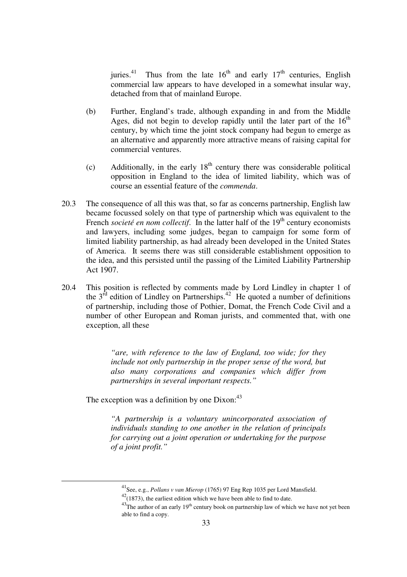juries.<sup>41</sup> Thus from the late  $16<sup>th</sup>$  and early  $17<sup>th</sup>$  centuries, English commercial law appears to have developed in a somewhat insular way, detached from that of mainland Europe.

- (b) Further, England's trade, although expanding in and from the Middle Ages, did not begin to develop rapidly until the later part of the  $16<sup>th</sup>$ century, by which time the joint stock company had begun to emerge as an alternative and apparently more attractive means of raising capital for commercial ventures.
- (c) Additionally, in the early  $18<sup>th</sup>$  century there was considerable political opposition in England to the idea of limited liability, which was of course an essential feature of the *commenda*.
- 20.3 The consequence of all this was that, so far as concerns partnership, English law became focussed solely on that type of partnership which was equivalent to the French *societé en nom collectif*. In the latter half of the 19<sup>th</sup> century economists and lawyers, including some judges, began to campaign for some form of limited liability partnership, as had already been developed in the United States of America. It seems there was still considerable establishment opposition to the idea, and this persisted until the passing of the Limited Liability Partnership Act 1907.
- 20.4 This position is reflected by comments made by Lord Lindley in chapter 1 of the  $3<sup>rd</sup>$  edition of Lindley on Partnerships.<sup>42</sup> He quoted a number of definitions of partnership, including those of Pothier, Domat, the French Code Civil and a number of other European and Roman jurists, and commented that, with one exception, all these

*"are, with reference to the law of England, too wide; for they include not only partnership in the proper sense of the word, but also many corporations and companies which differ from partnerships in several important respects."* 

The exception was a definition by one  $Dixon:^{43}$ 

*"A partnership is a voluntary unincorporated association of individuals standing to one another in the relation of principals for carrying out a joint operation or undertaking for the purpose of a joint profit."* 

 <sup>41</sup>See, e.g., *Pollans v van Mierop* (1765) 97 Eng Rep 1035 per Lord Mansfield.

 $42(1873)$ , the earliest edition which we have been able to find to date.

 $43$ The author of an early  $19<sup>th</sup>$  century book on partnership law of which we have not yet been able to find a copy.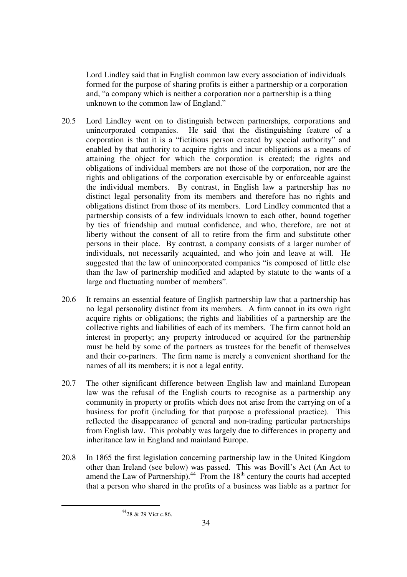Lord Lindley said that in English common law every association of individuals formed for the purpose of sharing profits is either a partnership or a corporation and, "a company which is neither a corporation nor a partnership is a thing unknown to the common law of England."

- 20.5 Lord Lindley went on to distinguish between partnerships, corporations and unincorporated companies. He said that the distinguishing feature of a corporation is that it is a "fictitious person created by special authority" and enabled by that authority to acquire rights and incur obligations as a means of attaining the object for which the corporation is created; the rights and obligations of individual members are not those of the corporation, nor are the rights and obligations of the corporation exercisable by or enforceable against the individual members. By contrast, in English law a partnership has no distinct legal personality from its members and therefore has no rights and obligations distinct from those of its members. Lord Lindley commented that a partnership consists of a few individuals known to each other, bound together by ties of friendship and mutual confidence, and who, therefore, are not at liberty without the consent of all to retire from the firm and substitute other persons in their place. By contrast, a company consists of a larger number of individuals, not necessarily acquainted, and who join and leave at will. He suggested that the law of unincorporated companies "is composed of little else than the law of partnership modified and adapted by statute to the wants of a large and fluctuating number of members".
- 20.6 It remains an essential feature of English partnership law that a partnership has no legal personality distinct from its members. A firm cannot in its own right acquire rights or obligations; the rights and liabilities of a partnership are the collective rights and liabilities of each of its members. The firm cannot hold an interest in property; any property introduced or acquired for the partnership must be held by some of the partners as trustees for the benefit of themselves and their co-partners. The firm name is merely a convenient shorthand for the names of all its members; it is not a legal entity.
- 20.7 The other significant difference between English law and mainland European law was the refusal of the English courts to recognise as a partnership any community in property or profits which does not arise from the carrying on of a business for profit (including for that purpose a professional practice). This reflected the disappearance of general and non-trading particular partnerships from English law. This probably was largely due to differences in property and inheritance law in England and mainland Europe.
- 20.8 In 1865 the first legislation concerning partnership law in the United Kingdom other than Ireland (see below) was passed. This was Bovill's Act (An Act to amend the Law of Partnership). $44$  From the 18<sup>th</sup> century the courts had accepted that a person who shared in the profits of a business was liable as a partner for

 <sup>4428 &</sup>amp; 29 Vict c.86.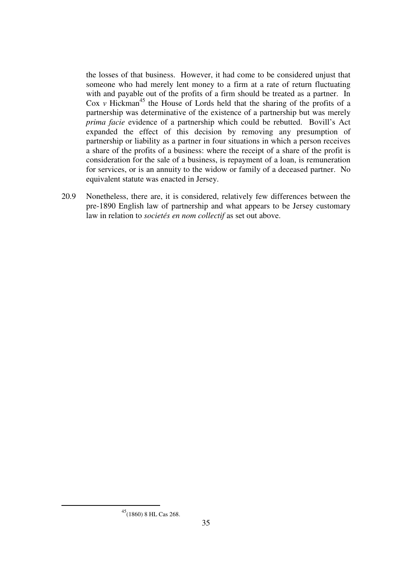the losses of that business. However, it had come to be considered unjust that someone who had merely lent money to a firm at a rate of return fluctuating with and payable out of the profits of a firm should be treated as a partner. In Cox  $\nu$  Hickman<sup>45</sup> the House of Lords held that the sharing of the profits of a partnership was determinative of the existence of a partnership but was merely *prima facie* evidence of a partnership which could be rebutted. Bovill's Act expanded the effect of this decision by removing any presumption of partnership or liability as a partner in four situations in which a person receives a share of the profits of a business: where the receipt of a share of the profit is consideration for the sale of a business, is repayment of a loan, is remuneration for services, or is an annuity to the widow or family of a deceased partner. No equivalent statute was enacted in Jersey.

20.9 Nonetheless, there are, it is considered, relatively few differences between the pre-1890 English law of partnership and what appears to be Jersey customary law in relation to *societés en nom collectif* as set out above.

 $^{45}\!$  (1860) 8 HL Cas 268.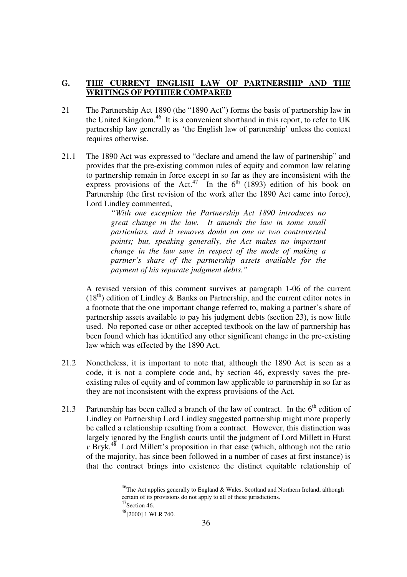## **G. THE CURRENT ENGLISH LAW OF PARTNERSHIP AND THE WRITINGS OF POTHIER COMPARED**

- 21 The Partnership Act 1890 (the "1890 Act") forms the basis of partnership law in the United Kingdom.<sup>46</sup> It is a convenient shorthand in this report, to refer to UK partnership law generally as 'the English law of partnership' unless the context requires otherwise.
- 21.1 The 1890 Act was expressed to "declare and amend the law of partnership" and provides that the pre-existing common rules of equity and common law relating to partnership remain in force except in so far as they are inconsistent with the express provisions of the Act.<sup>47</sup> In the  $6<sup>th</sup>$  (1893) edition of his book on Partnership (the first revision of the work after the 1890 Act came into force), Lord Lindley commented,

*"With one exception the Partnership Act 1890 introduces no great change in the law. It amends the law in some small particulars, and it removes doubt on one or two controverted points; but, speaking generally, the Act makes no important change in the law save in respect of the mode of making a partner's share of the partnership assets available for the payment of his separate judgment debts."*

A revised version of this comment survives at paragraph 1-06 of the current  $(18<sup>th</sup>)$  edition of Lindley & Banks on Partnership, and the current editor notes in a footnote that the one important change referred to, making a partner's share of partnership assets available to pay his judgment debts (section 23), is now little used. No reported case or other accepted textbook on the law of partnership has been found which has identified any other significant change in the pre-existing law which was effected by the 1890 Act.

- 21.2 Nonetheless, it is important to note that, although the 1890 Act is seen as a code, it is not a complete code and, by section 46, expressly saves the preexisting rules of equity and of common law applicable to partnership in so far as they are not inconsistent with the express provisions of the Act.
- 21.3 Partnership has been called a branch of the law of contract. In the  $6<sup>th</sup>$  edition of Lindley on Partnership Lord Lindley suggested partnership might more properly be called a relationship resulting from a contract. However, this distinction was largely ignored by the English courts until the judgment of Lord Millett in Hurst  $\nu$  Bryk.<sup>48</sup> Lord Millett's proposition in that case (which, although not the ratio of the majority, has since been followed in a number of cases at first instance) is that the contract brings into existence the distinct equitable relationship of

 $^{46}$ The Act applies generally to England & Wales, Scotland and Northern Ireland, although certain of its provisions do not apply to all of these jurisdictions.  $47$ Section 46.

<sup>48[2000] 1</sup> WLR 740.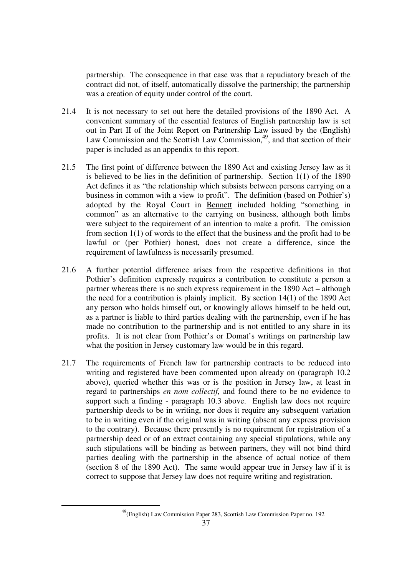partnership. The consequence in that case was that a repudiatory breach of the contract did not, of itself, automatically dissolve the partnership; the partnership was a creation of equity under control of the court.

- 21.4 It is not necessary to set out here the detailed provisions of the 1890 Act. A convenient summary of the essential features of English partnership law is set out in Part II of the Joint Report on Partnership Law issued by the (English) Law Commission and the Scottish Law Commission.<sup>49</sup>, and that section of their paper is included as an appendix to this report.
- 21.5 The first point of difference between the 1890 Act and existing Jersey law as it is believed to be lies in the definition of partnership. Section 1(1) of the 1890 Act defines it as "the relationship which subsists between persons carrying on a business in common with a view to profit". The definition (based on Pothier's) adopted by the Royal Court in Bennett included holding "something in common" as an alternative to the carrying on business, although both limbs were subject to the requirement of an intention to make a profit. The omission from section 1(1) of words to the effect that the business and the profit had to be lawful or (per Pothier) honest, does not create a difference, since the requirement of lawfulness is necessarily presumed.
- 21.6 A further potential difference arises from the respective definitions in that Pothier's definition expressly requires a contribution to constitute a person a partner whereas there is no such express requirement in the 1890 Act – although the need for a contribution is plainly implicit. By section 14(1) of the 1890 Act any person who holds himself out, or knowingly allows himself to be held out, as a partner is liable to third parties dealing with the partnership, even if he has made no contribution to the partnership and is not entitled to any share in its profits. It is not clear from Pothier's or Domat's writings on partnership law what the position in Jersey customary law would be in this regard.
- 21.7 The requirements of French law for partnership contracts to be reduced into writing and registered have been commented upon already on (paragraph 10.2 above), queried whether this was or is the position in Jersey law, at least in regard to partnerships *en nom collectif,* and found there to be no evidence to support such a finding - paragraph 10.3 above. English law does not require partnership deeds to be in writing, nor does it require any subsequent variation to be in writing even if the original was in writing (absent any express provision to the contrary). Because there presently is no requirement for registration of a partnership deed or of an extract containing any special stipulations, while any such stipulations will be binding as between partners, they will not bind third parties dealing with the partnership in the absence of actual notice of them (section 8 of the 1890 Act). The same would appear true in Jersey law if it is correct to suppose that Jersey law does not require writing and registration.

 <sup>49(</sup>English) Law Commission Paper 283, Scottish Law Commission Paper no. 192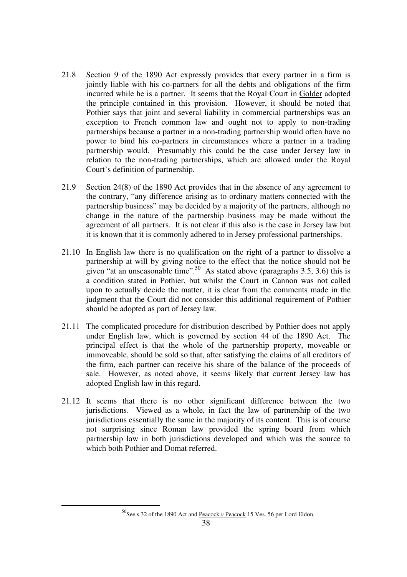- 21.8 Section 9 of the 1890 Act expressly provides that every partner in a firm is jointly liable with his co-partners for all the debts and obligations of the firm incurred while he is a partner. It seems that the Royal Court in Golder adopted the principle contained in this provision. However, it should be noted that Pothier says that joint and several liability in commercial partnerships was an exception to French common law and ought not to apply to non-trading partnerships because a partner in a non-trading partnership would often have no power to bind his co-partners in circumstances where a partner in a trading partnership would. Presumably this could be the case under Jersey law in relation to the non-trading partnerships, which are allowed under the Royal Court's definition of partnership.
- 21.9 Section 24(8) of the 1890 Act provides that in the absence of any agreement to the contrary, "any difference arising as to ordinary matters connected with the partnership business" may be decided by a majority of the partners, although no change in the nature of the partnership business may be made without the agreement of all partners. It is not clear if this also is the case in Jersey law but it is known that it is commonly adhered to in Jersey professional partnerships.
- 21.10 In English law there is no qualification on the right of a partner to dissolve a partnership at will by giving notice to the effect that the notice should not be given "at an unseasonable time".<sup>50</sup> As stated above (paragraphs  $3.5, 3.6$ ) this is a condition stated in Pothier, but whilst the Court in Cannon was not called upon to actually decide the matter, it is clear from the comments made in the judgment that the Court did not consider this additional requirement of Pothier should be adopted as part of Jersey law.
- 21.11 The complicated procedure for distribution described by Pothier does not apply under English law, which is governed by section 44 of the 1890 Act. The principal effect is that the whole of the partnership property, moveable or immoveable, should be sold so that, after satisfying the claims of all creditors of the firm, each partner can receive his share of the balance of the proceeds of sale. However, as noted above, it seems likely that current Jersey law has adopted English law in this regard.
- 21.12 It seems that there is no other significant difference between the two jurisdictions. Viewed as a whole, in fact the law of partnership of the two jurisdictions essentially the same in the majority of its content. This is of course not surprising since Roman law provided the spring board from which partnership law in both jurisdictions developed and which was the source to which both Pothier and Domat referred.

<sup>&</sup>lt;sup>50</sup>See s.32 of the 1890 Act and **Peacock** *v* Peacock 15 Ves. 56 per Lord Eldon.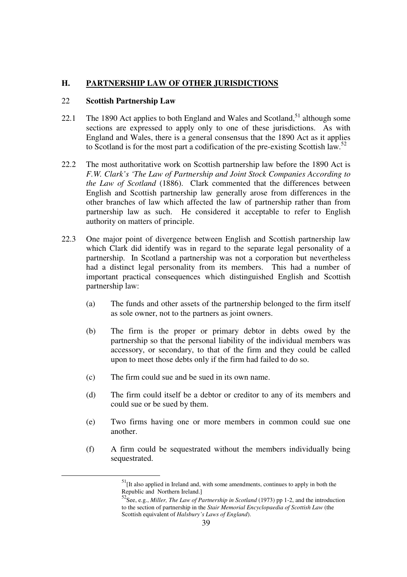## **H. PARTNERSHIP LAW OF OTHER JURISDICTIONS**

#### 22 **Scottish Partnership Law**

- 22.1 The 1890 Act applies to both England and Wales and Scotland,  $51$  although some sections are expressed to apply only to one of these jurisdictions. As with England and Wales, there is a general consensus that the 1890 Act as it applies to Scotland is for the most part a codification of the pre-existing Scottish law.<sup>52</sup>
- 22.2 The most authoritative work on Scottish partnership law before the 1890 Act is *F.W. Clark's 'The Law of Partnership and Joint Stock Companies According to the Law of Scotland* (1886). Clark commented that the differences between English and Scottish partnership law generally arose from differences in the other branches of law which affected the law of partnership rather than from partnership law as such. He considered it acceptable to refer to English authority on matters of principle.
- 22.3 One major point of divergence between English and Scottish partnership law which Clark did identify was in regard to the separate legal personality of a partnership. In Scotland a partnership was not a corporation but nevertheless had a distinct legal personality from its members. This had a number of important practical consequences which distinguished English and Scottish partnership law:
	- (a) The funds and other assets of the partnership belonged to the firm itself as sole owner, not to the partners as joint owners.
	- (b) The firm is the proper or primary debtor in debts owed by the partnership so that the personal liability of the individual members was accessory, or secondary, to that of the firm and they could be called upon to meet those debts only if the firm had failed to do so.
	- (c) The firm could sue and be sued in its own name.
	- (d) The firm could itself be a debtor or creditor to any of its members and could sue or be sued by them.
	- (e) Two firms having one or more members in common could sue one another.
	- (f) A firm could be sequestrated without the members individually being sequestrated.

<sup>&</sup>lt;sup>51</sup>[It also applied in Ireland and, with some amendments, continues to apply in both the Republic and Northern Ireland.]

<sup>52</sup>See, e.g., *Miller, The Law of Partnership in Scotland* (1973) pp 1-2, and the introduction to the section of partnership in the *Stair Memorial Encyclopaedia of Scottish Law* (the Scottish equivalent of *Halsbury's Laws of England*).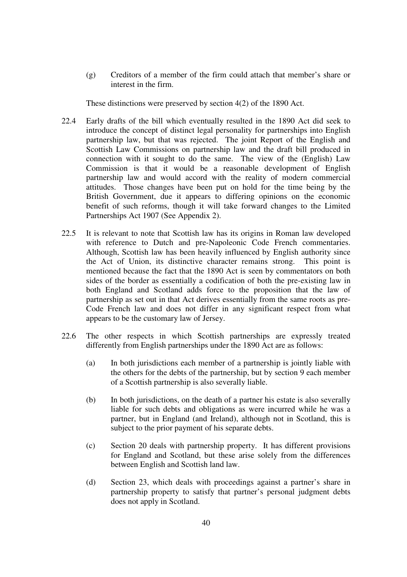(g) Creditors of a member of the firm could attach that member's share or interest in the firm.

These distinctions were preserved by section 4(2) of the 1890 Act.

- 22.4 Early drafts of the bill which eventually resulted in the 1890 Act did seek to introduce the concept of distinct legal personality for partnerships into English partnership law, but that was rejected. The joint Report of the English and Scottish Law Commissions on partnership law and the draft bill produced in connection with it sought to do the same. The view of the (English) Law Commission is that it would be a reasonable development of English partnership law and would accord with the reality of modern commercial attitudes. Those changes have been put on hold for the time being by the British Government, due it appears to differing opinions on the economic benefit of such reforms, though it will take forward changes to the Limited Partnerships Act 1907 (See Appendix 2).
- 22.5 It is relevant to note that Scottish law has its origins in Roman law developed with reference to Dutch and pre-Napoleonic Code French commentaries. Although, Scottish law has been heavily influenced by English authority since the Act of Union, its distinctive character remains strong. This point is mentioned because the fact that the 1890 Act is seen by commentators on both sides of the border as essentially a codification of both the pre-existing law in both England and Scotland adds force to the proposition that the law of partnership as set out in that Act derives essentially from the same roots as pre-Code French law and does not differ in any significant respect from what appears to be the customary law of Jersey.
- 22.6 The other respects in which Scottish partnerships are expressly treated differently from English partnerships under the 1890 Act are as follows:
	- (a) In both jurisdictions each member of a partnership is jointly liable with the others for the debts of the partnership, but by section 9 each member of a Scottish partnership is also severally liable.
	- (b) In both jurisdictions, on the death of a partner his estate is also severally liable for such debts and obligations as were incurred while he was a partner, but in England (and Ireland), although not in Scotland, this is subject to the prior payment of his separate debts.
	- (c) Section 20 deals with partnership property. It has different provisions for England and Scotland, but these arise solely from the differences between English and Scottish land law.
	- (d) Section 23, which deals with proceedings against a partner's share in partnership property to satisfy that partner's personal judgment debts does not apply in Scotland.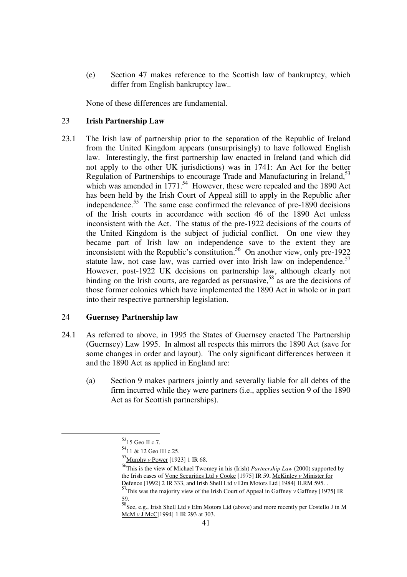(e) Section 47 makes reference to the Scottish law of bankruptcy, which differ from English bankruptcy law..

None of these differences are fundamental.

#### 23 **Irish Partnership Law**

23.1 The Irish law of partnership prior to the separation of the Republic of Ireland from the United Kingdom appears (unsurprisingly) to have followed English law. Interestingly, the first partnership law enacted in Ireland (and which did not apply to the other UK jurisdictions) was in 1741: An Act for the better Regulation of Partnerships to encourage Trade and Manufacturing in Ireland,<sup>53</sup> which was amended in  $1771$ <sup>54</sup> However, these were repealed and the 1890 Act has been held by the Irish Court of Appeal still to apply in the Republic after independence.55 The same case confirmed the relevance of pre-1890 decisions of the Irish courts in accordance with section 46 of the 1890 Act unless inconsistent with the Act. The status of the pre-1922 decisions of the courts of the United Kingdom is the subject of judicial conflict. On one view they became part of Irish law on independence save to the extent they are inconsistent with the Republic's constitution.<sup>56</sup> On another view, only pre-1922 statute law, not case law, was carried over into Irish law on independence.<sup>57</sup> However, post-1922 UK decisions on partnership law, although clearly not binding on the Irish courts, are regarded as persuasive,  $58$  as are the decisions of those former colonies which have implemented the 1890 Act in whole or in part into their respective partnership legislation.

### 24 **Guernsey Partnership law**

- 24.1 As referred to above, in 1995 the States of Guernsey enacted The Partnership (Guernsey) Law 1995. In almost all respects this mirrors the 1890 Act (save for some changes in order and layout). The only significant differences between it and the 1890 Act as applied in England are:
	- (a) Section 9 makes partners jointly and severally liable for all debts of the firm incurred while they were partners (i.e., applies section 9 of the 1890 Act as for Scottish partnerships).

 $53$ 15 Geo II c.7.

<sup>5411 &</sup>amp; 12 Geo III c.25.

<sup>55</sup>Murphy *v* Power [1923] 1 IR 68.

<sup>56</sup>This is the view of Michael Twomey in his (Irish) *Partnership Law* (2000) supported by the Irish cases of Vone Securities Ltd *v* Cooke [1975] IR 59, McKinley *v* Minister for Defence [1992] 2 IR 333, and Irish Shell Ltd *v* Elm Motors Ltd [1984] ILRM 595. .

 $\frac{57}{7}$ This was the majority view of the Irish Court of Appeal in Gaffney *v* Gaffney [1975] IR 59.

<sup>59.&</sup>lt;br><sup>58</sup>See, e.g., <u>Irish Shell Ltd *v* Elm Motors Ltd</u> (above) and more recently per Costello J in <u>M</u> McM *v* J McC[1994] 1 IR 293 at 303.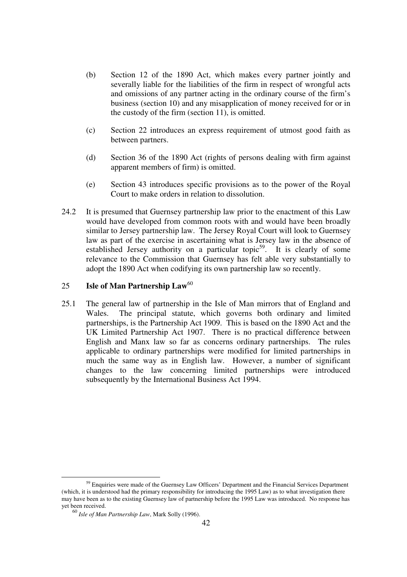- (b) Section 12 of the 1890 Act, which makes every partner jointly and severally liable for the liabilities of the firm in respect of wrongful acts and omissions of any partner acting in the ordinary course of the firm's business (section 10) and any misapplication of money received for or in the custody of the firm (section 11), is omitted.
- (c) Section 22 introduces an express requirement of utmost good faith as between partners.
- (d) Section 36 of the 1890 Act (rights of persons dealing with firm against apparent members of firm) is omitted.
- (e) Section 43 introduces specific provisions as to the power of the Royal Court to make orders in relation to dissolution.
- 24.2 It is presumed that Guernsey partnership law prior to the enactment of this Law would have developed from common roots with and would have been broadly similar to Jersey partnership law. The Jersey Royal Court will look to Guernsey law as part of the exercise in ascertaining what is Jersey law in the absence of established Jersey authority on a particular topic<sup>59</sup>. It is clearly of some relevance to the Commission that Guernsey has felt able very substantially to adopt the 1890 Act when codifying its own partnership law so recently.

## 25 **Isle of Man Partnership Law**<sup>60</sup>

25.1 The general law of partnership in the Isle of Man mirrors that of England and Wales. The principal statute, which governs both ordinary and limited partnerships, is the Partnership Act 1909. This is based on the 1890 Act and the UK Limited Partnership Act 1907. There is no practical difference between English and Manx law so far as concerns ordinary partnerships. The rules applicable to ordinary partnerships were modified for limited partnerships in much the same way as in English law. However, a number of significant changes to the law concerning limited partnerships were introduced subsequently by the International Business Act 1994.

<sup>&</sup>lt;sup>59</sup> Enquiries were made of the Guernsey Law Officers' Department and the Financial Services Department (which, it is understood had the primary responsibility for introducing the 1995 Law) as to what investigation there may have been as to the existing Guernsey law of partnership before the 1995 Law was introduced. No response has yet been received.

<sup>60</sup> *Isle of Man Partnership Law*, Mark Solly (1996).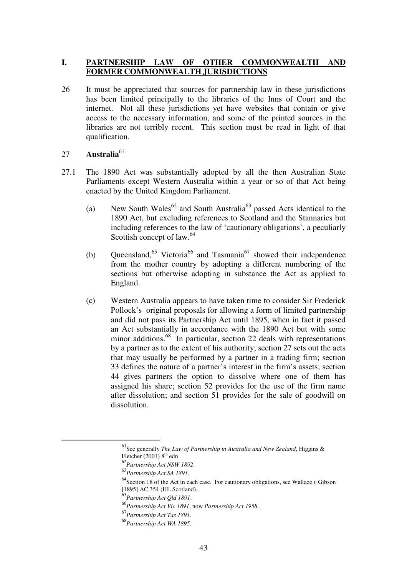## **I. PARTNERSHIP LAW OF OTHER COMMONWEALTH AND FORMER COMMONWEALTH JURISDICTIONS**

26 It must be appreciated that sources for partnership law in these jurisdictions has been limited principally to the libraries of the Inns of Court and the internet. Not all these jurisdictions yet have websites that contain or give access to the necessary information, and some of the printed sources in the libraries are not terribly recent. This section must be read in light of that qualification.

## 27 **Australia**<sup>61</sup>

- 27.1 The 1890 Act was substantially adopted by all the then Australian State Parliaments except Western Australia within a year or so of that Act being enacted by the United Kingdom Parliament.
	- (a) New South Wales<sup>62</sup> and South Australia<sup>63</sup> passed Acts identical to the 1890 Act, but excluding references to Scotland and the Stannaries but including references to the law of 'cautionary obligations', a peculiarly Scottish concept of law.<sup>64</sup>
	- (b) Queensland,<sup>65</sup> Victoria<sup>66</sup> and Tasmania<sup>67</sup> showed their independence from the mother country by adopting a different numbering of the sections but otherwise adopting in substance the Act as applied to England.
	- (c) Western Australia appears to have taken time to consider Sir Frederick Pollock's original proposals for allowing a form of limited partnership and did not pass its Partnership Act until 1895, when in fact it passed an Act substantially in accordance with the 1890 Act but with some minor additions.<sup>68</sup> In particular, section 22 deals with representations by a partner as to the extent of his authority; section 27 sets out the acts that may usually be performed by a partner in a trading firm; section 33 defines the nature of a partner's interest in the firm's assets; section 44 gives partners the option to dissolve where one of them has assigned his share; section 52 provides for the use of the firm name after dissolution; and section 51 provides for the sale of goodwill on dissolution.

 <sup>61</sup>See generally *The Law of Partnership in Australia and New Zealand*, Higgins & Fletcher (2001)  $8<sup>th</sup>$  edn

<sup>&</sup>lt;sup>62</sup>Partnership Act NSW 1892.<br><sup>63</sup>Partnership Act SA 1891.<br><sup>64</sup>Section 18 of the Act in each case. For cautionary obligations, see <u>Wallace *v* Gibson</u> [1895] AC 354 (HL Scotland).<br> $^{65}$ Partnership Act Qld 1891.

<sup>65</sup>*Partnership Act Qld 1891*. 66*Partnership Act Vic 1891*, now *Partnership Act 1958*. 67*Partnership Act Tas 1891*. 68*Partnership Act WA 1895*.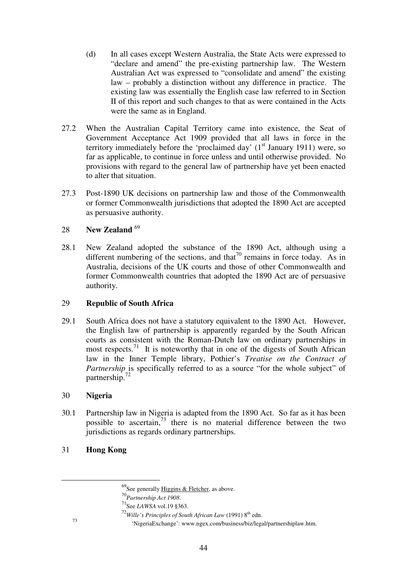- (d) In all cases except Western Australia, the State Acts were expressed to "declare and amend" the pre-existing partnership law. The Western Australian Act was expressed to "consolidate and amend" the existing law – probably a distinction without any difference in practice. The existing law was essentially the English case law referred to in Section II of this report and such changes to that as were contained in the Acts were the same as in England.
- 27.2 When the Australian Capital Territory came into existence, the Seat of Government Acceptance Act 1909 provided that all laws in force in the territory immediately before the 'proclaimed day'  $(1<sup>st</sup> January 1911)$  were, so far as applicable, to continue in force unless and until otherwise provided. No provisions with regard to the general law of partnership have yet been enacted to alter that situation.
- 27.3 Post-1890 UK decisions on partnership law and those of the Commonwealth or former Commonwealth jurisdictions that adopted the 1890 Act are accepted as persuasive authority.

## 28 **New Zealand** <sup>69</sup>

28.1 New Zealand adopted the substance of the 1890 Act, although using a different numbering of the sections, and that<sup>70</sup> remains in force today. As in Australia, decisions of the UK courts and those of other Commonwealth and former Commonwealth countries that adopted the 1890 Act are of persuasive authority.

## 29 **Republic of South Africa**

29.1 South Africa does not have a statutory equivalent to the 1890 Act. However, the English law of partnership is apparently regarded by the South African courts as consistent with the Roman-Dutch law on ordinary partnerships in most respects.<sup>71</sup> It is noteworthy that in one of the digests of South African law in the Inner Temple library, Pothier's *Treatise on the Contract of Partnership* is specifically referred to as a source "for the whole subject" of partnership.<sup>72</sup>

### 30 **Nigeria**

- 30.1 Partnership law in Nigeria is adapted from the 1890 Act. So far as it has been possible to ascertain, $73$  there is no material difference between the two jurisdictions as regards ordinary partnerships.
- 31 **Hong Kong**

 $^{69}$ See generally Higgins & Fletcher, as above.

<sup>&</sup>lt;sup>70</sup>*Partnership Act 1908*.<br><sup>71</sup>See *LAWSA* vol.19 §363.

<sup>72</sup>*Wille's Principles of South African Law* (1991) 8th edn.

<sup>73&</sup>lt;br>
'NigeriaExchange': www.ngex.com/business/biz/legal/partnershiplaw.htm.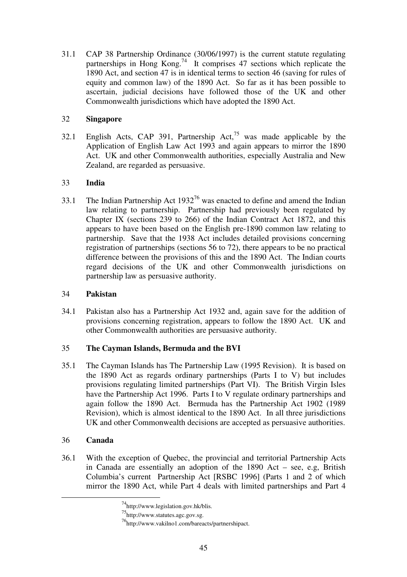31.1 CAP 38 Partnership Ordinance (30/06/1997) is the current statute regulating partnerships in Hong Kong.<sup>74</sup> It comprises 47 sections which replicate the 1890 Act, and section 47 is in identical terms to section 46 (saving for rules of equity and common law) of the 1890 Act. So far as it has been possible to ascertain, judicial decisions have followed those of the UK and other Commonwealth jurisdictions which have adopted the 1890 Act.

## 32 **Singapore**

32.1 English Acts, CAP 391, Partnership Act, $^{75}$  was made applicable by the Application of English Law Act 1993 and again appears to mirror the 1890 Act. UK and other Commonwealth authorities, especially Australia and New Zealand, are regarded as persuasive.

## 33 **India**

33.1 The Indian Partnership Act  $1932^{76}$  was enacted to define and amend the Indian law relating to partnership. Partnership had previously been regulated by Chapter IX (sections 239 to 266) of the Indian Contract Act 1872, and this appears to have been based on the English pre-1890 common law relating to partnership. Save that the 1938 Act includes detailed provisions concerning registration of partnerships (sections 56 to 72), there appears to be no practical difference between the provisions of this and the 1890 Act. The Indian courts regard decisions of the UK and other Commonwealth jurisdictions on partnership law as persuasive authority.

## 34 **Pakistan**

34.1 Pakistan also has a Partnership Act 1932 and, again save for the addition of provisions concerning registration, appears to follow the 1890 Act. UK and other Commonwealth authorities are persuasive authority.

## 35 **The Cayman Islands, Bermuda and the BVI**

35.1 The Cayman Islands has The Partnership Law (1995 Revision). It is based on the 1890 Act as regards ordinary partnerships (Parts I to V) but includes provisions regulating limited partnerships (Part VI). The British Virgin Isles have the Partnership Act 1996. Parts I to V regulate ordinary partnerships and again follow the 1890 Act. Bermuda has the Partnership Act 1902 (1989 Revision), which is almost identical to the 1890 Act. In all three jurisdictions UK and other Commonwealth decisions are accepted as persuasive authorities.

## 36 **Canada**

36.1 With the exception of Quebec, the provincial and territorial Partnership Acts in Canada are essentially an adoption of the 1890 Act – see, e.g, British Columbia's current Partnership Act [RSBC 1996] (Parts 1 and 2 of which mirror the 1890 Act, while Part 4 deals with limited partnerships and Part 4

 <sup>74</sup>http://www.legislation.gov.hk/blis.

<sup>75</sup>http://www.statutes.agc.gov.sg.

<sup>76</sup>http://www.vakilno1.com/bareacts/partnershipact.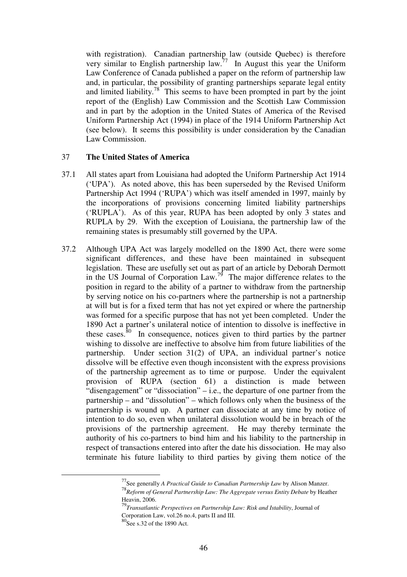with registration). Canadian partnership law (outside Quebec) is therefore very similar to English partnership law.<sup>77</sup> In August this year the Uniform Law Conference of Canada published a paper on the reform of partnership law and, in particular, the possibility of granting partnerships separate legal entity and limited liability.<sup>78</sup> This seems to have been prompted in part by the joint report of the (English) Law Commission and the Scottish Law Commission and in part by the adoption in the United States of America of the Revised Uniform Partnership Act (1994) in place of the 1914 Uniform Partnership Act (see below). It seems this possibility is under consideration by the Canadian Law Commission.

### 37 **The United States of America**

- 37.1 All states apart from Louisiana had adopted the Uniform Partnership Act 1914 ('UPA'). As noted above, this has been superseded by the Revised Uniform Partnership Act 1994 ('RUPA') which was itself amended in 1997, mainly by the incorporations of provisions concerning limited liability partnerships ('RUPLA'). As of this year, RUPA has been adopted by only 3 states and RUPLA by 29. With the exception of Louisiana, the partnership law of the remaining states is presumably still governed by the UPA.
- 37.2 Although UPA Act was largely modelled on the 1890 Act, there were some significant differences, and these have been maintained in subsequent legislation. These are usefully set out as part of an article by Deborah Dermott in the US Journal of Corporation Law.<sup>79</sup> The major difference relates to the position in regard to the ability of a partner to withdraw from the partnership by serving notice on his co-partners where the partnership is not a partnership at will but is for a fixed term that has not yet expired or where the partnership was formed for a specific purpose that has not yet been completed. Under the 1890 Act a partner's unilateral notice of intention to dissolve is ineffective in these cases. $\frac{80}{10}$  In consequence, notices given to third parties by the partner wishing to dissolve are ineffective to absolve him from future liabilities of the partnership. Under section 31(2) of UPA, an individual partner's notice dissolve will be effective even though inconsistent with the express provisions of the partnership agreement as to time or purpose. Under the equivalent provision of RUPA (section 61) a distinction is made between "disengagement" or "dissociation" – i.e., the departure of one partner from the partnership – and "dissolution" – which follows only when the business of the partnership is wound up. A partner can dissociate at any time by notice of intention to do so, even when unilateral dissolution would be in breach of the provisions of the partnership agreement. He may thereby terminate the authority of his co-partners to bind him and his liability to the partnership in respect of transactions entered into after the date his dissociation. He may also terminate his future liability to third parties by giving them notice of the

 <sup>77</sup>See generally *A Practical Guide to Canadian Partnership Law* by Alison Manzer.

<sup>78</sup>*Reform of General Partnership Law: The Aggregate versus Entity Debate* by Heather Heavin, 2006.

<sup>79</sup>*Transatlantic Perspectives on Partnership Law: Risk and Istability*, Journal of Corporation Law, vol.26 no.4, parts II and III.

<sup>80</sup>See s.32 of the 1890 Act.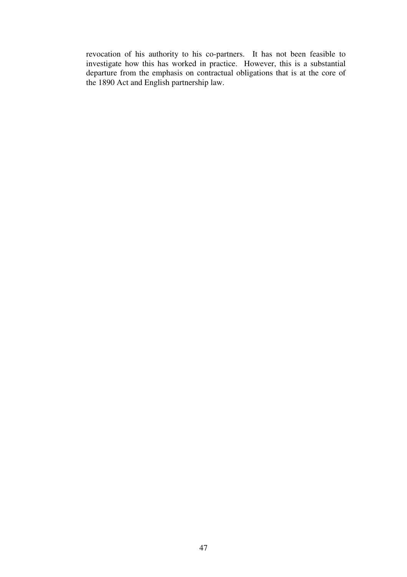revocation of his authority to his co-partners. It has not been feasible to investigate how this has worked in practice. However, this is a substantial departure from the emphasis on contractual obligations that is at the core of the 1890 Act and English partnership law.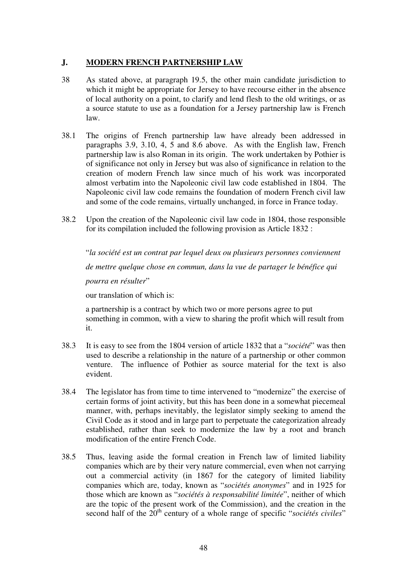## **J. MODERN FRENCH PARTNERSHIP LAW**

- 38 As stated above, at paragraph 19.5, the other main candidate jurisdiction to which it might be appropriate for Jersey to have recourse either in the absence of local authority on a point, to clarify and lend flesh to the old writings, or as a source statute to use as a foundation for a Jersey partnership law is French law.
- 38.1 The origins of French partnership law have already been addressed in paragraphs 3.9, 3.10, 4, 5 and 8.6 above. As with the English law, French partnership law is also Roman in its origin. The work undertaken by Pothier is of significance not only in Jersey but was also of significance in relation to the creation of modern French law since much of his work was incorporated almost verbatim into the Napoleonic civil law code established in 1804. The Napoleonic civil law code remains the foundation of modern French civil law and some of the code remains, virtually unchanged, in force in France today.
- 38.2 Upon the creation of the Napoleonic civil law code in 1804, those responsible for its compilation included the following provision as Article 1832 :

"*la société est un contrat par lequel deux ou plusieurs personnes conviennent de mettre quelque chose en commun, dans la vue de partager le bénéfice qui pourra en résulter*" our translation of which is:

a partnership is a contract by which two or more persons agree to put something in common, with a view to sharing the profit which will result from it.

- 38.3 It is easy to see from the 1804 version of article 1832 that a "*société*" was then used to describe a relationship in the nature of a partnership or other common venture. The influence of Pothier as source material for the text is also evident.
- 38.4 The legislator has from time to time intervened to "modernize" the exercise of certain forms of joint activity, but this has been done in a somewhat piecemeal manner, with, perhaps inevitably, the legislator simply seeking to amend the Civil Code as it stood and in large part to perpetuate the categorization already established, rather than seek to modernize the law by a root and branch modification of the entire French Code.
- 38.5 Thus, leaving aside the formal creation in French law of limited liability companies which are by their very nature commercial, even when not carrying out a commercial activity (in 1867 for the category of limited liability companies which are, today, known as "*sociétés anonymes*" and in 1925 for those which are known as "*sociétés à responsabilité limitée*", neither of which are the topic of the present work of the Commission), and the creation in the second half of the 20<sup>th</sup> century of a whole range of specific "*sociétés civiles*"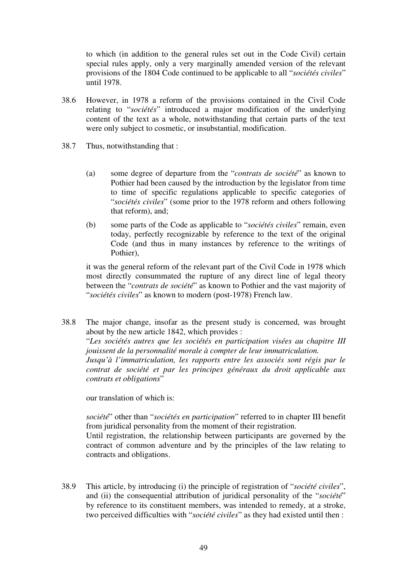to which (in addition to the general rules set out in the Code Civil) certain special rules apply, only a very marginally amended version of the relevant provisions of the 1804 Code continued to be applicable to all "*sociétés civiles*" until 1978.

- 38.6 However, in 1978 a reform of the provisions contained in the Civil Code relating to "*sociétés*" introduced a major modification of the underlying content of the text as a whole, notwithstanding that certain parts of the text were only subject to cosmetic, or insubstantial, modification.
- 38.7 Thus, notwithstanding that :
	- (a) some degree of departure from the "*contrats de société*" as known to Pothier had been caused by the introduction by the legislator from time to time of specific regulations applicable to specific categories of "*sociétés civiles*" (some prior to the 1978 reform and others following that reform), and;
	- (b) some parts of the Code as applicable to "*sociétés civiles*" remain, even today, perfectly recognizable by reference to the text of the original Code (and thus in many instances by reference to the writings of Pothier),

it was the general reform of the relevant part of the Civil Code in 1978 which most directly consummated the rupture of any direct line of legal theory between the "*contrats de société*" as known to Pothier and the vast majority of "*sociétés civiles*" as known to modern (post-1978) French law.

38.8 The major change, insofar as the present study is concerned, was brought about by the new article 1842, which provides : "*Les sociétés autres que les sociétés en participation visées au chapitre III jouissent de la personnalité morale à compter de leur immatriculation. Jusqu'à l'immatriculation, les rapports entre les associés sont régis par le contrat de société et par les principes généraux du droit applicable aux contrats et obligations*"

our translation of which is:

*société*" other than "*sociétés en participation*" referred to in chapter III benefit from juridical personality from the moment of their registration. Until registration, the relationship between participants are governed by the contract of common adventure and by the principles of the law relating to contracts and obligations.

38.9 This article, by introducing (i) the principle of registration of "*société civiles*", and (ii) the consequential attribution of juridical personality of the "*société*" by reference to its constituent members, was intended to remedy, at a stroke, two perceived difficulties with "*société civiles*" as they had existed until then :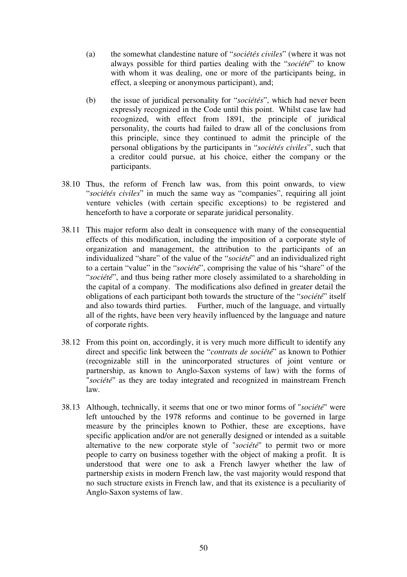- (a) the somewhat clandestine nature of "*sociétés civiles*" (where it was not always possible for third parties dealing with the "*société*" to know with whom it was dealing, one or more of the participants being, in effect, a sleeping or anonymous participant), and;
- (b) the issue of juridical personality for "*sociétés*", which had never been expressly recognized in the Code until this point. Whilst case law had recognized, with effect from 1891, the principle of juridical personality, the courts had failed to draw all of the conclusions from this principle, since they continued to admit the principle of the personal obligations by the participants in "*sociétés civiles*", such that a creditor could pursue, at his choice, either the company or the participants.
- 38.10 Thus, the reform of French law was, from this point onwards, to view "*sociétés civiles*" in much the same way as "companies", requiring all joint venture vehicles (with certain specific exceptions) to be registered and henceforth to have a corporate or separate juridical personality.
- 38.11 This major reform also dealt in consequence with many of the consequential effects of this modification, including the imposition of a corporate style of organization and management, the attribution to the participants of an individualized "share" of the value of the "*société*" and an individualized right to a certain "value" in the "*société*", comprising the value of his "share" of the "*société*", and thus being rather more closely assimilated to a shareholding in the capital of a company. The modifications also defined in greater detail the obligations of each participant both towards the structure of the "*société*" itself and also towards third parties. Further, much of the language, and virtually all of the rights, have been very heavily influenced by the language and nature of corporate rights.
- 38.12 From this point on, accordingly, it is very much more difficult to identify any direct and specific link between the "*contrats de société*" as known to Pothier (recognizable still in the unincorporated structures of joint venture or partnership, as known to Anglo-Saxon systems of law) with the forms of "*société*" as they are today integrated and recognized in mainstream French law.
- 38.13 Although, technically, it seems that one or two minor forms of "*société*" were left untouched by the 1978 reforms and continue to be governed in large measure by the principles known to Pothier, these are exceptions, have specific application and/or are not generally designed or intended as a suitable alternative to the new corporate style of "*société*" to permit two or more people to carry on business together with the object of making a profit. It is understood that were one to ask a French lawyer whether the law of partnership exists in modern French law, the vast majority would respond that no such structure exists in French law, and that its existence is a peculiarity of Anglo-Saxon systems of law.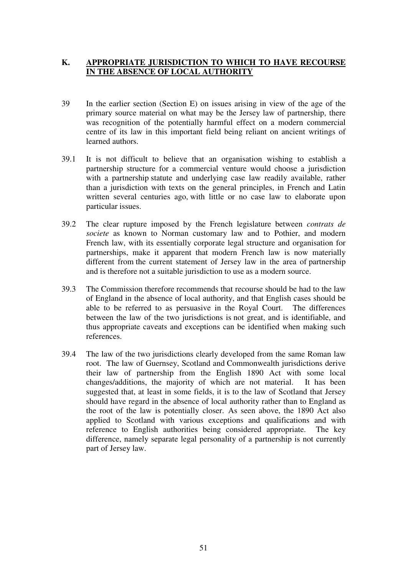## **K. APPROPRIATE JURISDICTION TO WHICH TO HAVE RECOURSE IN THE ABSENCE OF LOCAL AUTHORITY**

- 39 In the earlier section (Section E) on issues arising in view of the age of the primary source material on what may be the Jersey law of partnership, there was recognition of the potentially harmful effect on a modern commercial centre of its law in this important field being reliant on ancient writings of learned authors.
- 39.1 It is not difficult to believe that an organisation wishing to establish a partnership structure for a commercial venture would choose a jurisdiction with a partnership statute and underlying case law readily available, rather than a jurisdiction with texts on the general principles, in French and Latin written several centuries ago, with little or no case law to elaborate upon particular issues.
- 39.2 The clear rupture imposed by the French legislature between *contrats de societe* as known to Norman customary law and to Pothier, and modern French law, with its essentially corporate legal structure and organisation for partnerships, make it apparent that modern French law is now materially different from the current statement of Jersey law in the area of partnership and is therefore not a suitable jurisdiction to use as a modern source.
- 39.3 The Commission therefore recommends that recourse should be had to the law of England in the absence of local authority, and that English cases should be able to be referred to as persuasive in the Royal Court. The differences between the law of the two jurisdictions is not great, and is identifiable, and thus appropriate caveats and exceptions can be identified when making such references.
- 39.4 The law of the two jurisdictions clearly developed from the same Roman law root. The law of Guernsey, Scotland and Commonwealth jurisdictions derive their law of partnership from the English 1890 Act with some local changes/additions, the majority of which are not material. It has been suggested that, at least in some fields, it is to the law of Scotland that Jersey should have regard in the absence of local authority rather than to England as the root of the law is potentially closer. As seen above, the 1890 Act also applied to Scotland with various exceptions and qualifications and with reference to English authorities being considered appropriate. The key difference, namely separate legal personality of a partnership is not currently part of Jersey law.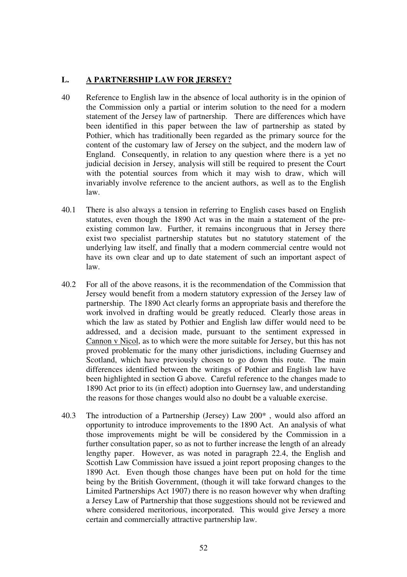## **L. A PARTNERSHIP LAW FOR JERSEY?**

- 40 Reference to English law in the absence of local authority is in the opinion of the Commission only a partial or interim solution to the need for a modern statement of the Jersey law of partnership. There are differences which have been identified in this paper between the law of partnership as stated by Pothier, which has traditionally been regarded as the primary source for the content of the customary law of Jersey on the subject, and the modern law of England. Consequently, in relation to any question where there is a yet no judicial decision in Jersey, analysis will still be required to present the Court with the potential sources from which it may wish to draw, which will invariably involve reference to the ancient authors, as well as to the English law.
- 40.1 There is also always a tension in referring to English cases based on English statutes, even though the 1890 Act was in the main a statement of the preexisting common law. Further, it remains incongruous that in Jersey there exist two specialist partnership statutes but no statutory statement of the underlying law itself, and finally that a modern commercial centre would not have its own clear and up to date statement of such an important aspect of law.
- 40.2 For all of the above reasons, it is the recommendation of the Commission that Jersey would benefit from a modern statutory expression of the Jersey law of partnership. The 1890 Act clearly forms an appropriate basis and therefore the work involved in drafting would be greatly reduced. Clearly those areas in which the law as stated by Pothier and English law differ would need to be addressed, and a decision made, pursuant to the sentiment expressed in Cannon v Nicol, as to which were the more suitable for Jersey, but this has not proved problematic for the many other jurisdictions, including Guernsey and Scotland, which have previously chosen to go down this route. The main differences identified between the writings of Pothier and English law have been highlighted in section G above. Careful reference to the changes made to 1890 Act prior to its (in effect) adoption into Guernsey law, and understanding the reasons for those changes would also no doubt be a valuable exercise.
- 40.3 The introduction of a Partnership (Jersey) Law 200\* , would also afford an opportunity to introduce improvements to the 1890 Act. An analysis of what those improvements might be will be considered by the Commission in a further consultation paper, so as not to further increase the length of an already lengthy paper. However, as was noted in paragraph 22.4, the English and Scottish Law Commission have issued a joint report proposing changes to the 1890 Act. Even though those changes have been put on hold for the time being by the British Government, (though it will take forward changes to the Limited Partnerships Act 1907) there is no reason however why when drafting a Jersey Law of Partnership that those suggestions should not be reviewed and where considered meritorious, incorporated. This would give Jersey a more certain and commercially attractive partnership law.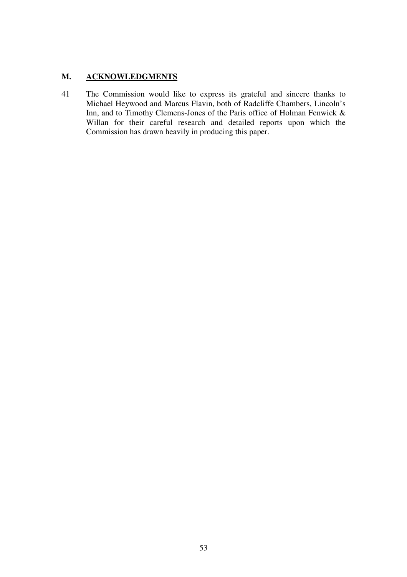## **M. ACKNOWLEDGMENTS**

41 The Commission would like to express its grateful and sincere thanks to Michael Heywood and Marcus Flavin, both of Radcliffe Chambers, Lincoln's Inn, and to Timothy Clemens-Jones of the Paris office of Holman Fenwick & Willan for their careful research and detailed reports upon which the Commission has drawn heavily in producing this paper.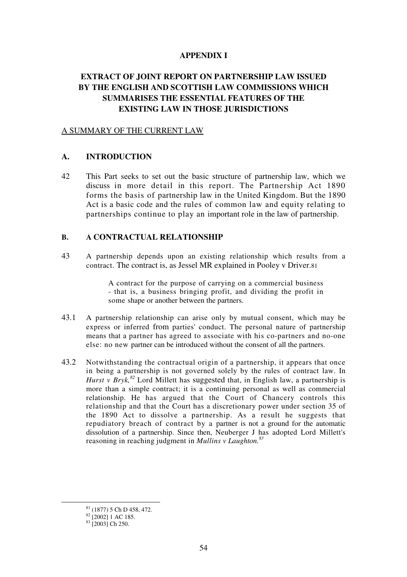#### **APPENDIX I**

## **EXTRACT OF JOINT REPORT ON PARTNERSHIP LAW ISSUED BY THE ENGLISH AND SCOTTISH LAW COMMISSIONS WHICH SUMMARISES THE ESSENTIAL FEATURES OF THE EXISTING LAW IN THOSE JURISDICTIONS**

#### A SUMMARY OF THE CURRENT LAW

#### **A. INTRODUCTION**

42 This Part seeks to set out the basic structure of partnership law, which we discuss in more detail in this report. The Partnership Act 1890 forms the basis of partnership law in the United Kingdom. But the 1890 Act is a basic code and the rules of common law and equity relating to partnerships continue to play an important role in the law of partnership.

#### **B. A CONTRACTUAL RELATIONSHIP**

43 A partnership depends upon an existing relationship which results from a contract. The contract is, as Jessel MR explained in Pooley v Driver.81

> A contract for the purpose of carrying on a commercial business - that is, a business bringing profit, and dividing the profit in some shape or another between the partners.

- 43.1 A partnership relationship can arise only by mutual consent, which may be express or inferred from parties' conduct. The personal nature of partnership means that a partner has agreed to associate with his co-partners and no-one else: no new partner can be introduced without the consent of all the partners.
- 43.2 Notwithstanding the contractual origin of a partnership, it appears that once in being a partnership is not governed solely by the rules of contract law. In *Hurst v Bryk*,<sup>82</sup> Lord Millett has suggested that, in English law, a partnership is more than a simple contract; it is a continuing personal as well as commercial relationship. He has argued that the Court of Chancery controls this relationship and that the Court has a discretionary power under section 35 of the 1890 Act to dissolve a partnership. As a result he suggests that repudiatory breach of contract by a partner is not a ground for the automatic dissolution of a partnership. Since then, Neuberger J has adopted Lord Millett's reasoning in reaching judgment in *Mullins v Laughton.<sup>83</sup>*

 <sup>81 (1877) 5</sup> Ch D 458, 472.

 $82$  [2002] 1 AC 185.

 $83$  [2003] Ch 250.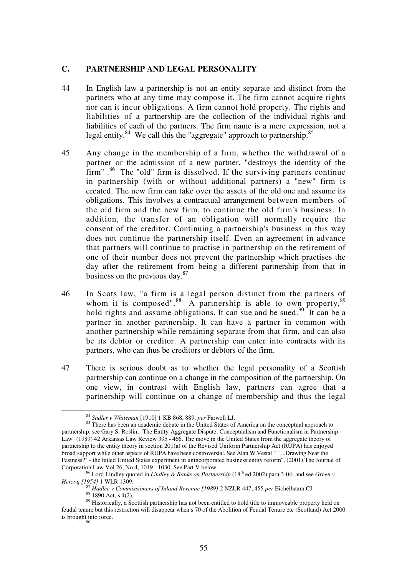#### **C. PARTNERSHIP AND LEGAL PERSONALITY**

- 44 In English law a partnership is not an entity separate and distinct from the partners who at any time may compose it. The firm cannot acquire rights nor can it incur obligations. A firm cannot hold property. The rights and liabilities of a partnership are the collection of the individual rights and liabilities of each of the partners. The firm name is a mere expression, not a legal entity. $84$  We call this the "aggregate" approach to partnership. $85$
- 45 Any change in the membership of a firm, whether the withdrawal of a partner or the admission of a new partner, "destroys the identity of the firm".<sup>86</sup> The "old" firm is dissolved. If the surviving partners continue in partnership (with or without additional partners) a "new" firm is created. The new firm can take over the assets of the old one and assume its obligations. This involves a contractual arrangement between members of the old firm and the new firm, to continue the old firm's business. In addition, the transfer of an obligation will normally require the consent of the creditor. Continuing a partnership's business in this way does not continue the partnership itself. Even an agreement in advance that partners will continue to practise in partnership on the retirement of one of their number does not prevent the partnership which practises the day after the retirement from being a different partnership from that in business on the previous day. $87$
- 46 In Scots law, "a firm is a legal person distinct from the partners of whom it is composed".<sup>88</sup> A partnership is able to own property,  $89$ hold rights and assume obligations. It can sue and be sued.<sup>90</sup> It can be a partner in another partnership. It can have a partner in common with another partnership while remaining separate from that firm, and can also be its debtor or creditor. A partnership can enter into contracts with its partners, who can thus be creditors or debtors of the firm.
- 47 There is serious doubt as to whether the legal personality of a Scottish partnership can continue on a change in the composition of the partnership. On one view, in contrast with English law, partners can agree that a partnership will continue on a change of membership and thus the legal

<sup>&</sup>lt;sup>84</sup> Sadler v Whiteman [1910] 1 KB 868, 889, *per* Farwell LJ.<br><sup>85</sup> There has been an academic debate in the United States of America on the conceptual approach to partnership: see Gary S. Roslin, "The Entity-Aggregate Dispute: Conceptualism and Functionalism in Partnership Law" (1989) 42 Arkansas Law Review 395 - 466. The move in the United States from the aggregate theory of partnership to the entity theory in section 201(a) of the Revised Uniform Partnership Act (RUPA) has enjoyed broad support while other aspects of RUPA have been controversial. See Alan W.Vestal " " ...Drawing Near the Fastness?" - the failed United States experiment in unincorporated business entity reform", (2001) The Journal of

Corporation Law Vol 26, No 4, 1019 - 1030. See Part V below.<br><sup>86</sup> Lord Lindley quoted in *Lindley & Banks on Partnership* (18<sup>'h</sup> ed 2002) para 3-04; and see *Green v Herzog [1954]* 1 WLR 1309.

<sup>&</sup>lt;sup>87</sup> *Hadlee v Commissioners of Inland Revenue [1989]* 2 NZLR 447, 455 *per* Eichelbaum CJ. <sup>88</sup> 1890 Act, s 4(2).

<sup>89</sup> Historically, a Scottish partnership has not been entitled to hold title to immoveable property held on feudal tenure but this restriction will disappear when s 70 of the Abolition of Feudal Tenure etc (Scotland) Act 2000 is brought into force.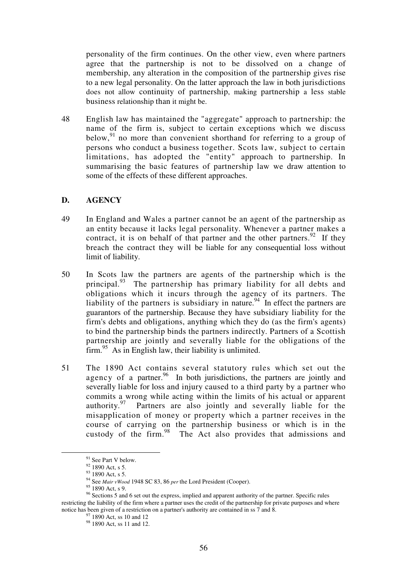personality of the firm continues. On the other view, even where partners agree that the partnership is not to be dissolved on a change of membership, any alteration in the composition of the partnership gives rise to a new legal personality. On the latter approach the law in both jurisdictions does not allow continuity of partnership, making partnership a less stable business relationship than it might be.

48 English law has maintained the "aggregate" approach to partnership: the name of the firm is, subject to certain exceptions which we discuss below, $91$  no more than convenient shorthand for referring to a group of persons who conduct a business together. Scots law, subject to certain limitations, has adopted the "entity" approach to partnership. In summarising the basic features of partnership law we draw attention to some of the effects of these different approaches.

### **D. AGENCY**

- 49 In England and Wales a partner cannot be an agent of the partnership as an entity because it lacks legal personality. Whenever a partner makes a contract, it is on behalf of that partner and the other partners.<sup>92</sup> If they breach the contract they will be liable for any consequential loss without limit of liability.
- 50 In Scots law the partners are agents of the partnership which is the principal.<sup>93</sup> The partnership has primary liability for all debts and obligations which it incurs through the agency of its partners. The liability of the partners is subsidiary in nature.  $94$  In effect the partners are guarantors of the partnership. Because they have subsidiary liability for the firm's debts and obligations, anything which they do (as the firm's agents) to bind the partnership binds the partners indirectly. Partners of a Scottish partnership are jointly and severally liable for the obligations of the  $firm.<sup>95</sup>$  As in English law, their liability is unlimited.
- 51 The 1890 Act contains several statutory rules which set out the agency of a partner. $96$  In both jurisdictions, the partners are jointly and severally liable for loss and injury caused to a third party by a partner who commits a wrong while acting within the limits of his actual or apparent authority.<sup>97</sup> Partners are also jointly and severally liable for the misapplication of money or property which a partner receives in the course of carrying on the partnership business or which is in the custody of the firm.<sup>98</sup> The Act also provides that admissions and

 <sup>91</sup> See Part V below.

 $92$  1890 Act, s 5.

<sup>&</sup>lt;sup>93</sup> 1890 Act, s 5.

<sup>94</sup> See *Mair vWood* 1948 SC 83, 86 *per* the Lord President (Cooper). 95 1890 Act, s 9.

<sup>&</sup>lt;sup>96</sup> Sections 5 and 6 set out the express, implied and apparent authority of the partner. Specific rules restricting the liability of the firm where a partner uses the credit of the partnership for private purposes and where notice has been given of a restriction on a partner's authority are contained in ss 7 and 8. 97 1890 Act, ss 10 and 12

<sup>&</sup>lt;sup>98</sup> 1890 Act, ss 11 and 12.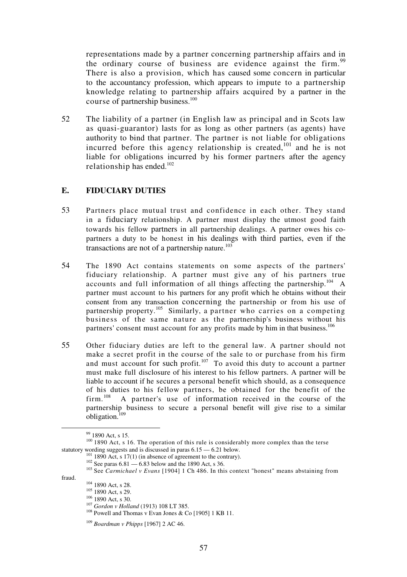representations made by a partner concerning partnership affairs and in the ordinary course of business are evidence against the firm.<sup>99</sup> There is also a provision, which has caused some concern in particular to the accountancy profession, which appears to impute to a partnership knowledge relating to partnership affairs acquired by a partner in the course of partnership business.<sup>100</sup>

52 The liability of a partner (in English law as principal and in Scots law as quasi-guarantor) lasts for as long as other partners (as agents) have authority to bind that partner. The partner is not liable for obligations incurred before this agency relationship is created,<sup>101</sup> and he is not liable for obligations incurred by his former partners after the agency relationship has ended.<sup>102</sup>

#### **E. FIDUCIARY DUTIES**

- 53 Partners place mutual trust and confidence in each other. They stand in a fiduciary relationship. A partner must display the utmost good faith towards his fellow partners in all partnership dealings. A partner owes his copartners a duty to be honest in his dealings with third parties, even if the transactions are not of a partnership nature. $103$
- 54 The 1890 Act contains statements on some aspects of the partners' fiduciary relationship. A partner must give any of his partners true accounts and full information of all things affecting the partnership.<sup>104</sup> A partner must account to his partners for any profit which he obtains without their consent from any transaction concerning the partnership or from his use of partnership property.<sup>105</sup> Similarly, a partner who carries on a competing business of the same nature as the partnership's business without his partners' consent must account for any profits made by him in that business.<sup>106</sup>
- 55 Other fiduciary duties are left to the general law. A partner should not make a secret profit in the course of the sale to or purchase from his firm and must account for such profit.<sup>107</sup> To avoid this duty to account a partner must make full disclosure of his interest to his fellow partners. A partner will be liable to account if he secures a personal benefit which should, as a consequence of his duties to his fellow partners, be obtained for the benefit of the  $\lim_{h \to 0} \frac{108}{h}$  A partner's use of information received in the course of the A partner's use of information received in the course of the partnership business to secure a personal benefit will give rise to a similar obligation.109

- -

 $99$  1890 Act, s 15.

<sup>&</sup>lt;sup>100</sup> 1890 Act, s 16. The operation of this rule is considerably more complex than the terse statutory wording suggests and is discussed in paras  $6.15 - 6.21$  below.

<sup>&</sup>lt;sup>101</sup> 1890 Act, s 17(1) (in absence of agreement to the contrary).<br><sup>102</sup> See paras 6.81 — 6.83 below and the 1890 Act, s 36.<br><sup>103</sup> See *Carmichael v Evans* [1904] 1 Ch 486. In this context "honest" means abstaining from<br>f

<sup>&</sup>lt;sup>104</sup> 1890 Act, s 28.<br><sup>105</sup> 1890 Act, s 29.<br><sup>106</sup> 1890 Act, s 30.<br><sup>107</sup> *Gordon v Holland* (1913) 108 LT 385.<br><sup>108</sup> Powell and Thomas v Evan Jones & Co [1905] 1 KB 11.

<sup>109</sup> *Boardman v Phipps* [1967] 2 AC 46.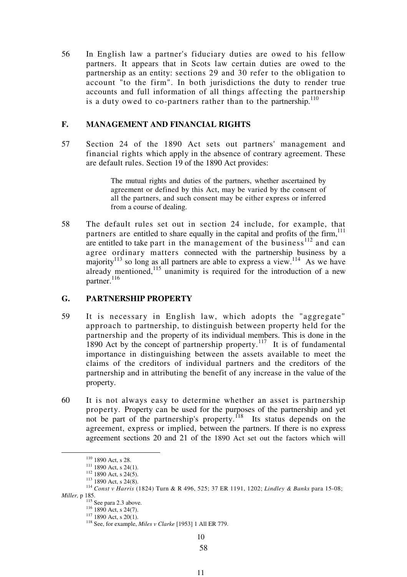56 In English law a partner's fiduciary duties are owed to his fellow partners. It appears that in Scots law certain duties are owed to the partnership as an entity: sections 29 and 30 refer to the obligation to account "to the firm". In both jurisdictions the duty to render true accounts and full information of all things affecting the partnership is a duty owed to co-partners rather than to the partnership.<sup>110</sup>

## **F. MANAGEMENT AND FINANCIAL RIGHTS**

57 Section 24 of the 1890 Act sets out partners' management and financial rights which apply in the absence of contrary agreement. These are default rules. Section 19 of the 1890 Act provides:

> The mutual rights and duties of the partners, whether ascertained by agreement or defined by this Act, may be varied by the consent of all the partners, and such consent may be either express or inferred from a course of dealing.

58 The default rules set out in section 24 include, for example, that partners are entitled to share equally in the capital and profits of the firm. $111$ are entitled to take part in the management of the business<sup>112</sup> and can agree ordinary matters connected with the partnership business by a majority<sup>113</sup> so long as all partners are able to express a view.<sup>114</sup> As we have already mentioned, $\frac{1}{115}$  unanimity is required for the introduction of a new partner.<sup>116</sup>

## **G. PARTNERSHIP PROPERTY**

- 59 It is necessary in English law, which adopts the "aggregate" approach to partnership, to distinguish between property held for the partnership and the property of its individual members. This is done in the 1890 Act by the concept of partnership property.<sup>117</sup> It is of fundamental importance in distinguishing between the assets available to meet the claims of the creditors of individual partners and the creditors of the partnership and in attributing the benefit of any increase in the value of the property.
- 60 It is not always easy to determine whether an asset is partnership property. Property can be used for the purposes of the partnership and yet not be part of the partnership's property.<sup>118</sup> Its status depends on the agreement, express or implied, between the partners. If there is no express agreement sections 20 and 21 of the 1890 Act set out the factors which will

10

<sup>110 1890</sup> Act, s 28.<br>
<sup>111</sup> 1890 Act, s 24(1).<br>
<sup>112</sup> 1890 Act, s 24(5).<br>
<sup>113</sup> 1890 Act, s 24(8).<br>
<sup>114</sup> *Const v Harris* (1824) Turn & R 496, 525; 37 ER 1191, 1202; *Lindley & Banks* para 15-08; *Miller, p* 185.<br><sup>115</sup> See para 2.3 above.<br><sup>116</sup> 1890 Act, s 24(7).<br><sup>117</sup> 1890 Act, s 20(1).<br><sup>118</sup> See, for example, *Miles v Clarke* [1953] 1 All ER 779.

<sup>58</sup>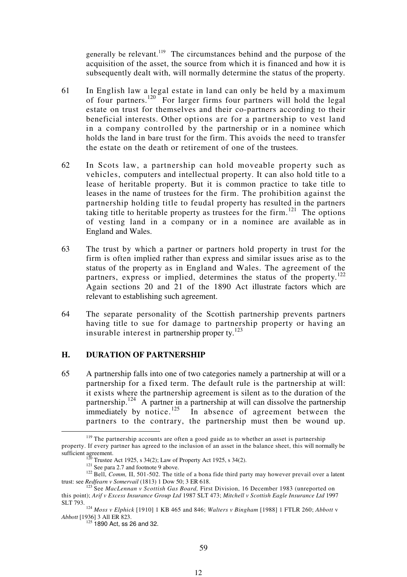generally be relevant.<sup>119</sup> The circumstances behind and the purpose of the acquisition of the asset, the source from which it is financed and how it is subsequently dealt with, will normally determine the status of the property.

- 61 In English law a legal estate in land can only be held by a maximum of four partners.<sup>120</sup> For larger firms four partners will hold the legal estate on trust for themselves and their co-partners according to their beneficial interests. Other options are for a partnership to vest land in a company controlled by the partnership or in a nominee which holds the land in bare trust for the firm. This avoids the need to transfer the estate on the death or retirement of one of the trustees.
- 62 In Scots law, a partnership can hold moveable property such as vehicles, computers and intellectual property. It can also hold title to a lease of heritable property. But it is common practice to take title to leases in the name of trustees for the firm. The prohibition against the partnership holding title to feudal property has resulted in the partners taking title to heritable property as trustees for the firm.<sup>121</sup> The options of vesting land in a company or in a nominee are available as in England and Wales.
- 63 The trust by which a partner or partners hold property in trust for the firm is often implied rather than express and similar issues arise as to the status of the property as in England and Wales. The agreement of the partners, express or implied, determines the status of the property.<sup>122</sup> Again sections 20 and 21 of the 1890 Act illustrate factors which are relevant to establishing such agreement.
- 64 The separate personality of the Scottish partnership prevents partners having title to sue for damage to partnership property or having an insurable interest in partnership proper ty. $^{123}$

## **H. DURATION OF PARTNERSHIP**

65 A partnership falls into one of two categories namely a partnership at will or a partnership for a fixed term. The default rule is the partnership at will: it exists where the partnership agreement is silent as to the duration of the partnership.<sup>124</sup> A partner in a partnership at will can dissolve the partnership immediately by notice.<sup>125</sup> In absence of agreement between the partners to the contrary, the partnership must then be wound up.

 $119$  The partnership accounts are often a good guide as to whether an asset is partnership property. If every partner has agreed to the inclusion of an asset in the balance sheet, this will normally be sufficient agreement.<br>
<sup>120</sup> Trustee Act 1925, s 34(2); Law of Property Act 1925, s 34(2).<br>
<sup>121</sup> See para 2.7 and footnote 9 above.<br>
<sup>122</sup> Bell, *Comm*, II, 501-502. The title of a bona fide third party may however preva

trust: see *Redfearn v Somervail* (1813) 1 Dow 50; 3 ER 618.<br><sup>123</sup> See *MacLennan v Scottish Gas Board*, First Division, 16 December 1983 (unreported on

this point); *Arif v Excess Insurance Group Ltd* 1987 SLT 473; *Mitchell v Scottish Eagle Insurance Ltd* 1997

SLT 793. 124 *Moss v Elphick* [1910] 1 KB 465 and 846; *Walters v Bingham* [1988] 1 FTLR 260; *Abbott* <sup>v</sup>

<sup>&</sup>lt;sup>125</sup> 1890 Act, ss 26 and 32.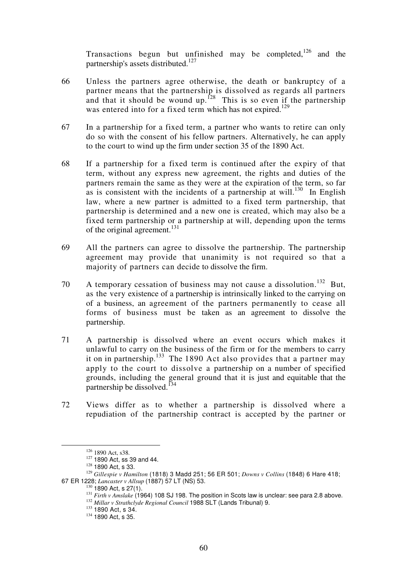Transactions begun but unfinished may be completed,  $126$  and the partnership's assets distributed.<sup>127</sup>

- 66 Unless the partners agree otherwise, the death or bankruptcy of a partner means that the partnership is dissolved as regards all partners and that it should be wound up.<sup>128</sup> This is so even if the partnership was entered into for a fixed term which has not expired.<sup>129</sup>
- 67 In a partnership for a fixed term, a partner who wants to retire can only do so with the consent of his fellow partners. Alternatively, he can apply to the court to wind up the firm under section 35 of the 1890 Act.
- 68 If a partnership for a fixed term is continued after the expiry of that term, without any express new agreement, the rights and duties of the partners remain the same as they were at the expiration of the term, so far as is consistent with the incidents of a partnership at will.<sup>130</sup> In English law, where a new partner is admitted to a fixed term partnership, that partnership is determined and a new one is created, which may also be a fixed term partnership or a partnership at will, depending upon the terms of the original agreement.<sup>131</sup>
- 69 All the partners can agree to dissolve the partnership. The partnership agreement may provide that unanimity is not required so that a majority of partners can decide to dissolve the firm.
- 70 A temporary cessation of business may not cause a dissolution.<sup>132</sup> But, as the very existence of a partnership is intrinsically linked to the carrying on of a business, an agreement of the partners permanently to cease all forms of business must be taken as an agreement to dissolve the partnership.
- 71 A partnership is dissolved where an event occurs which makes it unlawful to carry on the business of the firm or for the members to carry it on in partnership.<sup>133</sup> The 1890 Act also provides that a partner may apply to the court to dissolve a partnership on a number of specified grounds, including the general ground that it is just and equitable that the partnership be dissolved.<sup>134</sup>
- 72 Views differ as to whether a partnership is dissolved where a repudiation of the partnership contract is accepted by the partner or

<sup>126 1890</sup> Act, s38.<br>
127 1890 Act, ss 39 and 44.<br>
128 1890 Act, s 33.<br>
1<sup>29</sup> *Gillespie v Hamilton* (1818) 3 Madd 251; 56 ER 501; *Downs v Collins* (1848) 6 Hare 418;<br>
67 ER 1228; *Lancaster v Allsup* (1887) 57 LT (NS) 53.<br>

<sup>&</sup>lt;sup>131</sup> Firth v Amslake (1964) 108 SJ 198. The position in Scots law is unclear: see para 2.8 above.<br><sup>132</sup> Millar v Strathclyde Regional Council 1988 SLT (Lands Tribunal) 9.<br><sup>133</sup> 1890 Act, s 34.<br><sup>134</sup> 1890 Act. s 35.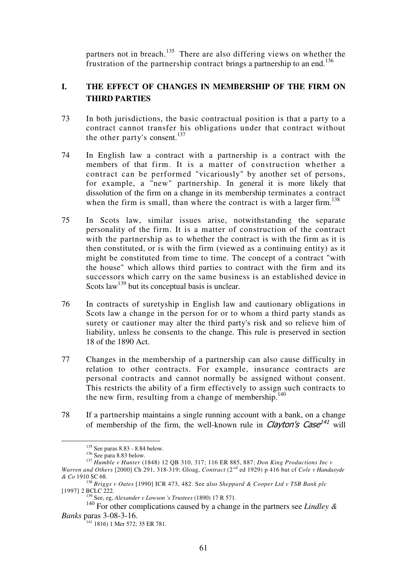partners not in breach.<sup>135</sup> There are also differing views on whether the frustration of the partnership contract brings a partnership to an end.<sup>136</sup>

## **I. THE EFFECT OF CHANGES IN MEMBERSHIP OF THE FIRM ON THIRD PARTIES**

- 73 In both jurisdictions, the basic contractual position is that a party to a contract cannot transfer his obligations under that contract without the other party's consent.<sup>137</sup>
- 74 In English law a contract with a partnership is a contract with the members of that firm. It is a matter of construction whether a contract can be performed "vicariously" by another set of persons, for example, a "new" partnership. In general it is more likely that dissolution of the firm on a change in its membership terminates a contract when the firm is small, than where the contract is with a larger firm.<sup>138</sup>
- 75 In Scots law, similar issues arise, notwithstanding the separate personality of the firm. It is a matter of construction of the contract with the partnership as to whether the contract is with the firm as it is then constituted, or is with the firm (viewed as a continuing entity) as it might be constituted from time to time. The concept of a contract "with the house" which allows third parties to contract with the firm and its successors which carry on the same business is an established device in Scots law<sup>139</sup> but its conceptual basis is unclear.
- 76 In contracts of suretyship in English law and cautionary obligations in Scots law a change in the person for or to whom a third party stands as surety or cautioner may alter the third party's risk and so relieve him of liability, unless he consents to the change. This rule is preserved in section 18 of the 1890 Act.
- 77 Changes in the membership of a partnership can also cause difficulty in relation to other contracts. For example, insurance contracts are personal contracts and cannot normally be assigned without consent. This restricts the ability of a firm effectively to assign such contracts to the new firm, resulting from a change of membership.<sup>140</sup>
- 78 If a partnership maintains a single running account with a bank, on a change of membership of the firm, the well-known rule in *Clayton's Case<sup>141</sup>* will

<sup>&</sup>lt;sup>135</sup> See paras 8.83 - 8.84 below.<br><sup>136</sup> See para 8.83 below.<br><sup>137</sup> *Humble v Hunter* (1848) 12 OB 310, 317; 116 ER 885, 887; *Don King Productions Inc v* Warren and Others [2000] Ch 291, 318-319; Gloag, *Contract* (2<sup>nd</sup> ed 1929) p 416 but cf *Cole v Handasyde* 

*<sup>&</sup>amp; Co* 1910 SC 68. 138 *Briggs v Oates* [1990] ICR 473, 482. See also *Sheppard & Cooper Ltd v TSB Bank plc* 

<sup>&</sup>lt;sup>139</sup> See, eg, *Alexander v Lowson 's Trustees* (1890) 17 R 571.

<sup>140</sup> For other complications caused by a change in the partners see *Lindley & Banks* paras 3-08-3-16.

<sup>141 1816) 1</sup> Mer 572; 35 ER 781.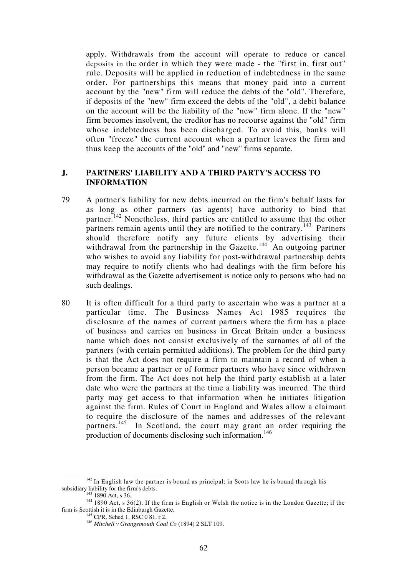apply. Withdrawals from the account will operate to reduce or cancel deposits in the order in which they were made - the "first in, first out" rule. Deposits will be applied in reduction of indebtedness in the same order. For partnerships this means that money paid into a current account by the "new" firm will reduce the debts of the "old". Therefore, if deposits of the "new" firm exceed the debts of the "old", a debit balance on the account will be the liability of the "new" firm alone. If the "new" firm becomes insolvent, the creditor has no recourse against the "old" firm whose indebtedness has been discharged. To avoid this, banks will often "freeze" the current account when a partner leaves the firm and thus keep the accounts of the "old" and "new" firms separate.

### **J. PARTNERS' LIABILITY AND A THIRD PARTY'S ACCESS TO INFORMATION**

- 79 A partner's liability for new debts incurred on the firm's behalf lasts for as long as other partners (as agents) have authority to bind that partner.<sup>142</sup> Nonetheless, third parties are entitled to assume that the other partners remain agents until they are notified to the contrary.<sup>143</sup> Partners should therefore notify any future clients by advertising their withdrawal from the partnership in the Gazette.<sup>144</sup> An outgoing partner who wishes to avoid any liability for post-withdrawal partnership debts may require to notify clients who had dealings with the firm before his withdrawal as the Gazette advertisement is notice only to persons who had no such dealings.
- 80 It is often difficult for a third party to ascertain who was a partner at a particular time. The Business Names Act 1985 requires the disclosure of the names of current partners where the firm has a place of business and carries on business in Great Britain under a business name which does not consist exclusively of the surnames of all of the partners (with certain permitted additions). The problem for the third party is that the Act does not require a firm to maintain a record of when a person became a partner or of former partners who have since withdrawn from the firm. The Act does not help the third party establish at a later date who were the partners at the time a liability was incurred. The third party may get access to that information when he initiates litigation against the firm. Rules of Court in England and Wales allow a claimant to require the disclosure of the names and addresses of the relevant partners.<sup>145</sup> In Scotland, the court may grant an order requiring the production of documents disclosing such information.<sup>146</sup>

<sup>&</sup>lt;sup>142</sup> In English law the partner is bound as principal; in Scots law he is bound through his subsidiary liability for the firm's debts.<br><sup>143</sup> 1890 Act, s 36.

 $\frac{1890 \text{ Act}}{44}$  1890 Act, s 36. 144 1890 Act, s 36. 144 1890 Act, s 36. 144 1890 Act, s 36. 144 1890 Act, s 36. 144 1890 Act, s 36. 144 1890 Act, s 36. 144 1890 Act, s 36. 144  $\frac{1}{2}$  and Gazette.

<sup>&</sup>lt;sup>145</sup> CPR, Sched 1, RSC 0 81, r 2. <sup>146</sup> Mitchell v Grangemouth Coal Co (1894) 2 SLT 109.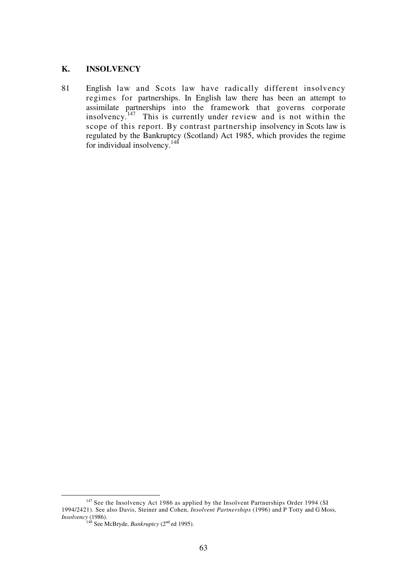## **K. INSOLVENCY**

81 English law and Scots law have radically different insolvency regimes for partnerships. In English law there has been an attempt to assimilate partnerships into the framework that governs corporate  $\frac{147}{147}$  This is currently under review and is not within the scope of this report. By contrast partnership insolvency in Scots law is regulated by the Bankruptcy (Scotland) Act 1985, which provides the regime for individual insolvency.<sup>148</sup>

<sup>&</sup>lt;sup>147</sup> See the Insolvency Act 1986 as applied by the Insolvent Partnerships Order 1994 (SI 1994/2421). See also Davis, Steiner and Cohen, *Insolvent Partnerships* (1996) and P Totty and G Moss, *Insolvency* (1986).

<sup>&</sup>lt;sup>148</sup> See McBryde, *Bankruptcy* ( $2<sup>nd</sup>$  ed 1995).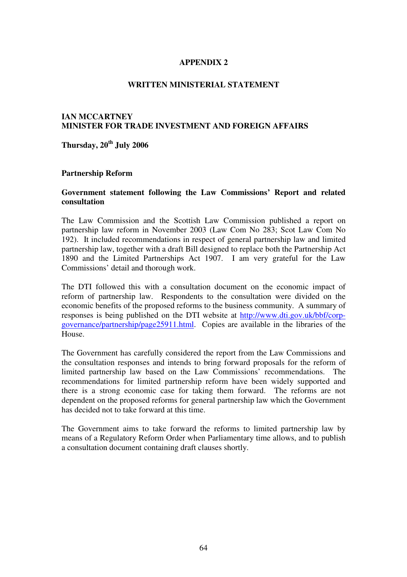## **APPENDIX 2**

#### **WRITTEN MINISTERIAL STATEMENT**

## **IAN MCCARTNEY MINISTER FOR TRADE INVESTMENT AND FOREIGN AFFAIRS**

**Thursday, 20th July 2006** 

#### **Partnership Reform**

#### **Government statement following the Law Commissions' Report and related consultation**

The Law Commission and the Scottish Law Commission published a report on partnership law reform in November 2003 (Law Com No 283; Scot Law Com No 192). It included recommendations in respect of general partnership law and limited partnership law, together with a draft Bill designed to replace both the Partnership Act 1890 and the Limited Partnerships Act 1907. I am very grateful for the Law Commissions' detail and thorough work.

The DTI followed this with a consultation document on the economic impact of reform of partnership law. Respondents to the consultation were divided on the economic benefits of the proposed reforms to the business community. A summary of responses is being published on the DTI website at http://www.dti.gov.uk/bbf/corpgovernance/partnership/page25911.html. Copies are available in the libraries of the House.

The Government has carefully considered the report from the Law Commissions and the consultation responses and intends to bring forward proposals for the reform of limited partnership law based on the Law Commissions' recommendations. The recommendations for limited partnership reform have been widely supported and there is a strong economic case for taking them forward. The reforms are not dependent on the proposed reforms for general partnership law which the Government has decided not to take forward at this time.

The Government aims to take forward the reforms to limited partnership law by means of a Regulatory Reform Order when Parliamentary time allows, and to publish a consultation document containing draft clauses shortly.